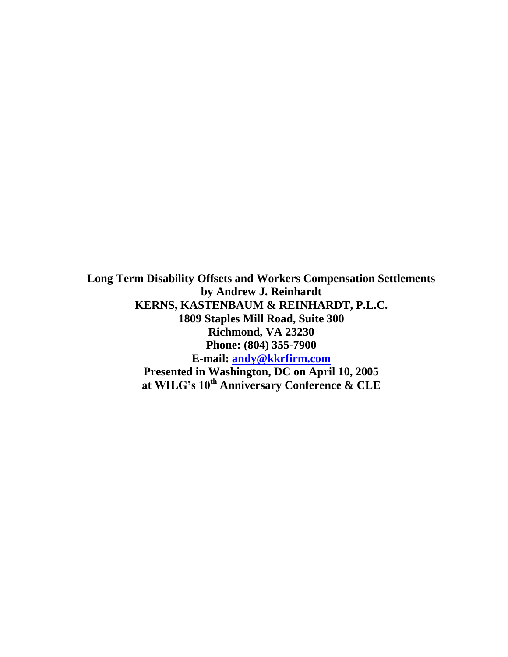**Long Term Disability Offsets and Workers Compensation Settlements by Andrew J. Reinhardt KERNS, KASTENBAUM & REINHARDT, P.L.C. 1809 Staples Mill Road, Suite 300 Richmond, VA 23230 Phone: (804) 355-7900 E-mail: [andy@kkrfirm.com](mailto:andy@kkrfirm.com) Presented in Washington, DC on April 10, 2005 at WILG's 10th Anniversary Conference & CLE**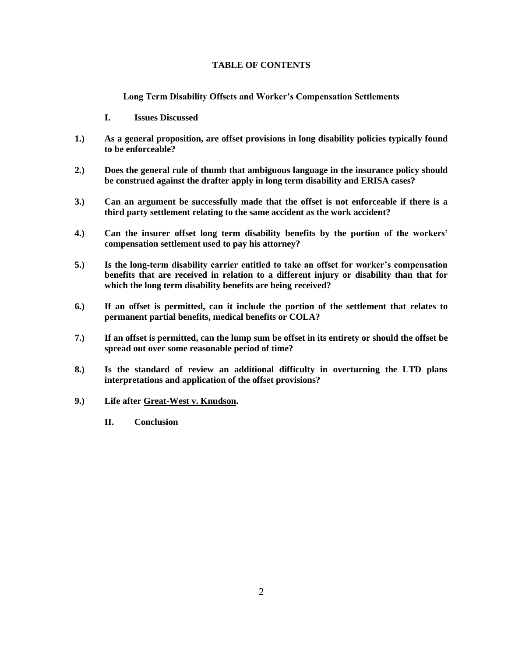# **TABLE OF CONTENTS**

**Long Term Disability Offsets and Worker's Compensation Settlements**

- **I. Issues Discussed**
- **1.) As a general proposition, are offset provisions in long disability policies typically found to be enforceable?**
- **2.) Does the general rule of thumb that ambiguous language in the insurance policy should be construed against the drafter apply in long term disability and ERISA cases?**
- **3.) Can an argument be successfully made that the offset is not enforceable if there is a third party settlement relating to the same accident as the work accident?**
- **4.) Can the insurer offset long term disability benefits by the portion of the workers' compensation settlement used to pay his attorney?**
- **5.) Is the long-term disability carrier entitled to take an offset for worker's compensation benefits that are received in relation to a different injury or disability than that for which the long term disability benefits are being received?**
- **6.) If an offset is permitted, can it include the portion of the settlement that relates to permanent partial benefits, medical benefits or COLA?**
- **7.) If an offset is permitted, can the lump sum be offset in its entirety or should the offset be spread out over some reasonable period of time?**
- **8.) Is the standard of review an additional difficulty in overturning the LTD plans interpretations and application of the offset provisions?**
- **9.) Life after Great-West v. Knudson.**
	- **II. Conclusion**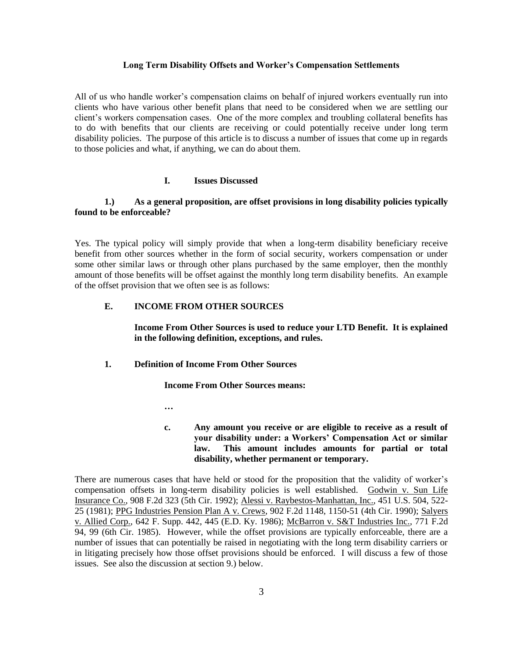#### **Long Term Disability Offsets and Worker's Compensation Settlements**

All of us who handle worker"s compensation claims on behalf of injured workers eventually run into clients who have various other benefit plans that need to be considered when we are settling our client"s workers compensation cases. One of the more complex and troubling collateral benefits has to do with benefits that our clients are receiving or could potentially receive under long term disability policies. The purpose of this article is to discuss a number of issues that come up in regards to those policies and what, if anything, we can do about them.

# **I. Issues Discussed**

# **1.) As a general proposition, are offset provisions in long disability policies typically found to be enforceable?**

Yes. The typical policy will simply provide that when a long-term disability beneficiary receive benefit from other sources whether in the form of social security, workers compensation or under some other similar laws or through other plans purchased by the same employer, then the monthly amount of those benefits will be offset against the monthly long term disability benefits. An example of the offset provision that we often see is as follows:

# **E. INCOME FROM OTHER SOURCES**

**Income From Other Sources is used to reduce your LTD Benefit. It is explained in the following definition, exceptions, and rules.**

#### **1. Definition of Income From Other Sources**

**Income From Other Sources means:**

**…**

**c. Any amount you receive or are eligible to receive as a result of your disability under: a Workers' Compensation Act or similar law. This amount includes amounts for partial or total disability, whether permanent or temporary.**

There are numerous cases that have held or stood for the proposition that the validity of worker"s compensation offsets in long-term disability policies is well established. Godwin v. Sun Life Insurance Co., 908 F.2d 323 (5th Cir. 1992); Alessi v. Raybestos-Manhattan, Inc., 451 U.S. 504, 522- 25 (1981); PPG Industries Pension Plan A v. Crews, 902 F.2d 1148, 1150-51 (4th Cir. 1990); Salyers v. Allied Corp., 642 F. Supp. 442, 445 (E.D. Ky. 1986); McBarron v. S&T Industries Inc., 771 F.2d 94, 99 (6th Cir. 1985). However, while the offset provisions are typically enforceable, there are a number of issues that can potentially be raised in negotiating with the long term disability carriers or in litigating precisely how those offset provisions should be enforced. I will discuss a few of those issues. See also the discussion at section 9.) below.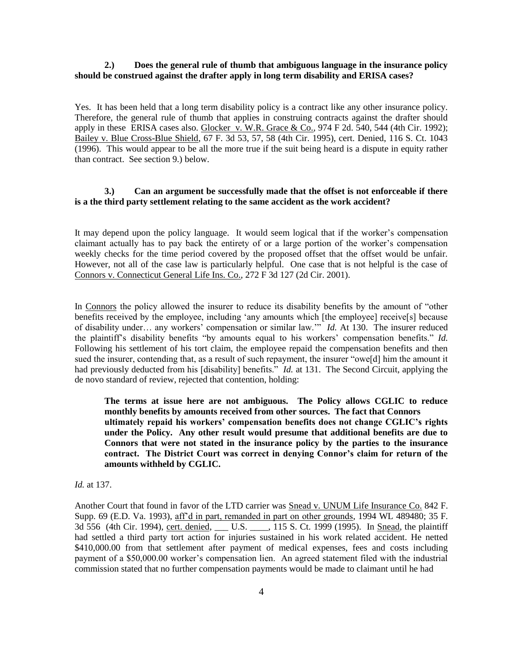# **2.) Does the general rule of thumb that ambiguous language in the insurance policy should be construed against the drafter apply in long term disability and ERISA cases?**

Yes. It has been held that a long term disability policy is a contract like any other insurance policy. Therefore, the general rule of thumb that applies in construing contracts against the drafter should apply in these ERISA cases also. Glocker v. W.R. Grace & Co., 974 F 2d. 540, 544 (4th Cir. 1992); Bailey v. Blue Cross-Blue Shield, 67 F. 3d 53, 57, 58 (4th Cir. 1995), cert. Denied, 116 S. Ct. 1043 (1996). This would appear to be all the more true if the suit being heard is a dispute in equity rather than contract. See section 9.) below.

# **3.) Can an argument be successfully made that the offset is not enforceable if there is a the third party settlement relating to the same accident as the work accident?**

It may depend upon the policy language. It would seem logical that if the worker"s compensation claimant actually has to pay back the entirety of or a large portion of the worker"s compensation weekly checks for the time period covered by the proposed offset that the offset would be unfair. However, not all of the case law is particularly helpful. One case that is not helpful is the case of Connors v. Connecticut General Life Ins. Co., 272 F 3d 127 (2d Cir. 2001).

In Connors the policy allowed the insurer to reduce its disability benefits by the amount of "other benefits received by the employee, including "any amounts which [the employee] receive[s] because of disability under… any workers" compensation or similar law."" *Id.* At 130. The insurer reduced the plaintiff's disability benefits "by amounts equal to his workers' compensation benefits." *Id.* Following his settlement of his tort claim, the employee repaid the compensation benefits and then sued the insurer, contending that, as a result of such repayment, the insurer "owe[d] him the amount it had previously deducted from his [disability] benefits." *Id.* at 131. The Second Circuit, applying the de novo standard of review, rejected that contention, holding:

**The terms at issue here are not ambiguous. The Policy allows CGLIC to reduce monthly benefits by amounts received from other sources. The fact that Connors ultimately repaid his workers' compensation benefits does not change CGLIC's rights under the Policy. Any other result would presume that additional benefits are due to Connors that were not stated in the insurance policy by the parties to the insurance contract. The District Court was correct in denying Connor's claim for return of the amounts withheld by CGLIC.** 

*Id.* at 137.

Another Court that found in favor of the LTD carrier was Snead v. UNUM Life Insurance Co. 842 F. Supp. 69 (E.D. Va. 1993), aff"d in part, remanded in part on other grounds, 1994 WL 489480; 35 F. 3d 556 (4th Cir. 1994), cert. denied, \_\_\_\_ U.S. \_\_\_\_, 115 S. Ct. 1999 (1995). In Snead, the plaintiff had settled a third party tort action for injuries sustained in his work related accident. He netted \$410,000.00 from that settlement after payment of medical expenses, fees and costs including payment of a \$50,000.00 worker"s compensation lien. An agreed statement filed with the industrial commission stated that no further compensation payments would be made to claimant until he had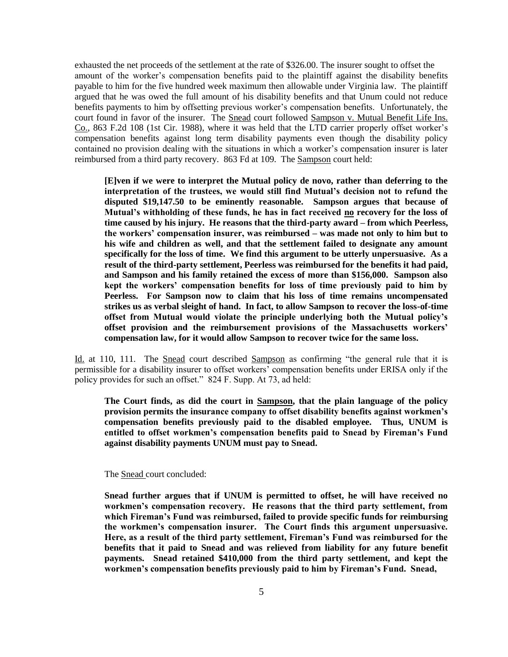exhausted the net proceeds of the settlement at the rate of \$326.00. The insurer sought to offset the amount of the worker"s compensation benefits paid to the plaintiff against the disability benefits payable to him for the five hundred week maximum then allowable under Virginia law. The plaintiff argued that he was owed the full amount of his disability benefits and that Unum could not reduce benefits payments to him by offsetting previous worker"s compensation benefits. Unfortunately, the court found in favor of the insurer. The Snead court followed Sampson v. Mutual Benefit Life Ins. Co., 863 F.2d 108 (1st Cir. 1988), where it was held that the LTD carrier properly offset worker"s compensation benefits against long term disability payments even though the disability policy contained no provision dealing with the situations in which a worker"s compensation insurer is later reimbursed from a third party recovery. 863 Fd at 109. The Sampson court held:

**[E]ven if we were to interpret the Mutual policy de novo, rather than deferring to the interpretation of the trustees, we would still find Mutual's decision not to refund the disputed \$19,147.50 to be eminently reasonable. Sampson argues that because of Mutual's withholding of these funds, he has in fact received no recovery for the loss of time caused by his injury. He reasons that the third-party award – from which Peerless, the workers' compensation insurer, was reimbursed – was made not only to him but to his wife and children as well, and that the settlement failed to designate any amount specifically for the loss of time. We find this argument to be utterly unpersuasive. As a result of the third-party settlement, Peerless was reimbursed for the benefits it had paid, and Sampson and his family retained the excess of more than \$156,000. Sampson also kept the workers' compensation benefits for loss of time previously paid to him by Peerless. For Sampson now to claim that his loss of time remains uncompensated strikes us as verbal sleight of hand. In fact, to allow Sampson to recover the loss-of-time offset from Mutual would violate the principle underlying both the Mutual policy's offset provision and the reimbursement provisions of the Massachusetts workers' compensation law, for it would allow Sampson to recover twice for the same loss.** 

Id. at 110, 111. The Snead court described Sampson as confirming "the general rule that it is permissible for a disability insurer to offset workers" compensation benefits under ERISA only if the policy provides for such an offset." 824 F. Supp. At 73, ad held:

**The Court finds, as did the court in Sampson, that the plain language of the policy provision permits the insurance company to offset disability benefits against workmen's compensation benefits previously paid to the disabled employee. Thus, UNUM is entitled to offset workmen's compensation benefits paid to Snead by Fireman's Fund against disability payments UNUM must pay to Snead.**

The Snead court concluded:

**Snead further argues that if UNUM is permitted to offset, he will have received no workmen's compensation recovery. He reasons that the third party settlement, from which Fireman's Fund was reimbursed, failed to provide specific funds for reimbursing the workmen's compensation insurer. The Court finds this argument unpersuasive. Here, as a result of the third party settlement, Fireman's Fund was reimbursed for the benefits that it paid to Snead and was relieved from liability for any future benefit payments. Snead retained \$410,000 from the third party settlement, and kept the workmen's compensation benefits previously paid to him by Fireman's Fund. Snead,**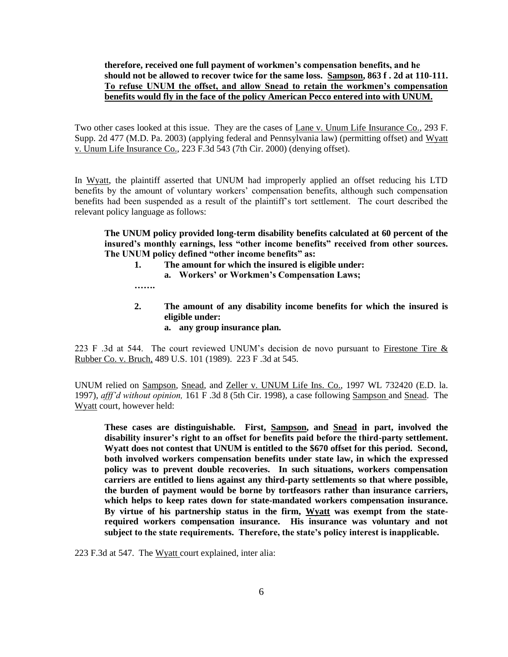# **therefore, received one full payment of workmen's compensation benefits, and he should not be allowed to recover twice for the same loss. Sampson, 863 f . 2d at 110-111. To refuse UNUM the offset, and allow Snead to retain the workmen's compensation benefits would fly in the face of the policy American Pecco entered into with UNUM.**

Two other cases looked at this issue. They are the cases of Lane v. Unum Life Insurance Co., 293 F. Supp. 2d 477 (M.D. Pa. 2003) (applying federal and Pennsylvania law) (permitting offset) and Wyatt v. Unum Life Insurance Co., 223 F.3d 543 (7th Cir. 2000) (denying offset).

In Wyatt, the plaintiff asserted that UNUM had improperly applied an offset reducing his LTD benefits by the amount of voluntary workers' compensation benefits, although such compensation benefits had been suspended as a result of the plaintiff"s tort settlement. The court described the relevant policy language as follows:

**The UNUM policy provided long-term disability benefits calculated at 60 percent of the insured's monthly earnings, less "other income benefits" received from other sources. The UNUM policy defined "other income benefits" as:**

- **1. The amount for which the insured is eligible under:**
	- **a. Workers' or Workmen's Compensation Laws;**
- **…….**
- **2. The amount of any disability income benefits for which the insured is eligible under:**
	- **a. any group insurance plan.**

223 F .3d at 544. The court reviewed UNUM"s decision de novo pursuant to Firestone Tire & Rubber Co. v. Bruch, 489 U.S. 101 (1989). 223 F .3d at 545.

UNUM relied on Sampson*,* Snead*,* and Zeller v. UNUM Life Ins. Co., 1997 WL 732420 (E.D. la. 1997), *afff'd without opinion,* 161 F .3d 8 (5th Cir. 1998), a case following Sampson and Snead. The Wyatt court, however held:

**These cases are distinguishable. First, Sampson, and Snead in part, involved the disability insurer's right to an offset for benefits paid before the third-party settlement. Wyatt does not contest that UNUM is entitled to the \$670 offset for this period. Second, both involved workers compensation benefits under state law, in which the expressed policy was to prevent double recoveries. In such situations, workers compensation carriers are entitled to liens against any third-party settlements so that where possible, the burden of payment would be borne by tortfeasors rather than insurance carriers, which helps to keep rates down for state-mandated workers compensation insurance. By virtue of his partnership status in the firm, Wyatt was exempt from the staterequired workers compensation insurance. His insurance was voluntary and not subject to the state requirements. Therefore, the state's policy interest is inapplicable.** 

223 F.3d at 547. The Wyatt court explained, inter alia: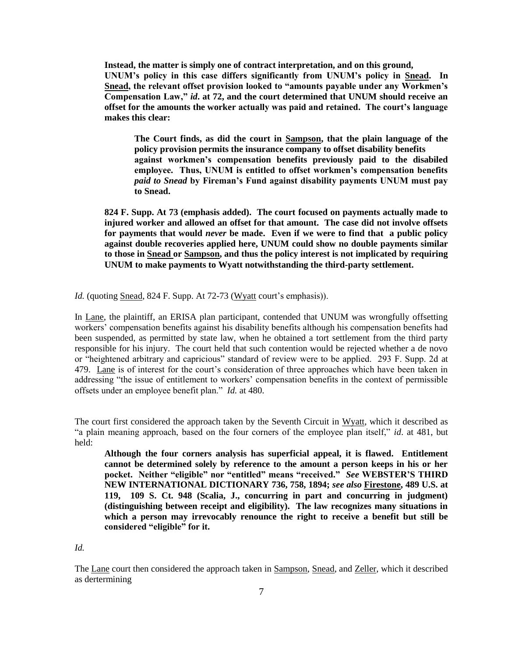**Instead, the matter is simply one of contract interpretation, and on this ground, UNUM's policy in this case differs significantly from UNUM's policy in Snead. In Snead, the relevant offset provision looked to "amounts payable under any Workmen's Compensation Law,"** *id***. at 72, and the court determined that UNUM should receive an offset for the amounts the worker actually was paid and retained. The court's language makes this clear:**

**The Court finds, as did the court in Sampson, that the plain language of the policy provision permits the insurance company to offset disability benefits against workmen's compensation benefits previously paid to the disabiled employee. Thus, UNUM is entitled to offset workmen's compensation benefits**  *paid to Snead* **by Fireman's Fund against disability payments UNUM must pay to Snead.**

**824 F. Supp. At 73 (emphasis added). The court focused on payments actually made to injured worker and allowed an offset for that amount. The case did not involve offsets for payments that would** *never* **be made. Even if we were to find that a public policy against double recoveries applied here, UNUM could show no double payments similar to those in Snead or Sampson, and thus the policy interest is not implicated by requiring UNUM to make payments to Wyatt notwithstanding the third-party settlement.**

*Id.* (quoting Snead, 824 F. Supp. At 72-73 (Wyatt court's emphasis)).

In Lane, the plaintiff, an ERISA plan participant, contended that UNUM was wrongfully offsetting workers" compensation benefits against his disability benefits although his compensation benefits had been suspended, as permitted by state law, when he obtained a tort settlement from the third party responsible for his injury. The court held that such contention would be rejected whether a de novo or "heightened arbitrary and capricious" standard of review were to be applied. 293 F. Supp. 2d at 479. Lane is of interest for the court's consideration of three approaches which have been taken in addressing "the issue of entitlement to workers" compensation benefits in the context of permissible offsets under an employee benefit plan." *Id.* at 480.

The court first considered the approach taken by the Seventh Circuit in Wyatt, which it described as "a plain meaning approach, based on the four corners of the employee plan itself," *id*. at 481, but held:

**Although the four corners analysis has superficial appeal, it is flawed. Entitlement cannot be determined solely by reference to the amount a person keeps in his or her pocket. Neither "eligible" nor "entitled" means "received."** *See* **WEBSTER'S THIRD NEW INTERNATIONAL DICTIONARY 736, 758, 1894;** *see also* **Firestone, 489 U.S. at 119, 109 S. Ct. 948 (Scalia, J., concurring in part and concurring in judgment) (distinguishing between receipt and eligibility). The law recognizes many situations in which a person may irrevocably renounce the right to receive a benefit but still be considered "eligible" for it.**

*Id.*

The Lane court then considered the approach taken in Sampson, Snead, and Zeller, which it described as dertermining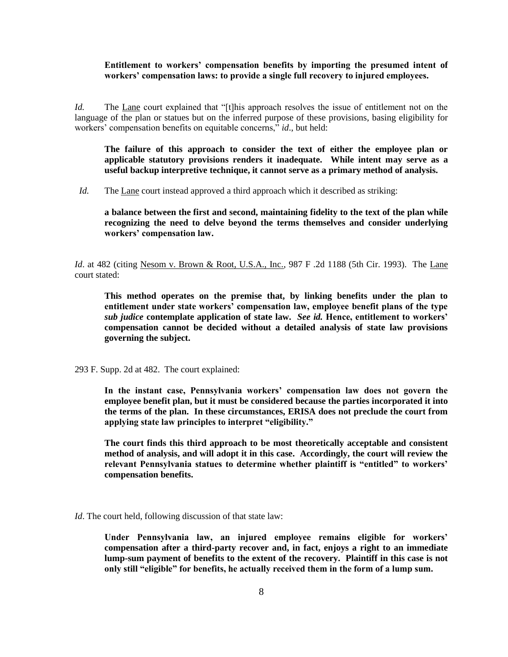#### **Entitlement to workers' compensation benefits by importing the presumed intent of workers' compensation laws: to provide a single full recovery to injured employees.**

*Id.* The <u>Lane</u> court explained that "[t]his approach resolves the issue of entitlement not on the language of the plan or statues but on the inferred purpose of these provisions, basing eligibility for workers' compensation benefits on equitable concerns," *id.*, but held:

**The failure of this approach to consider the text of either the employee plan or applicable statutory provisions renders it inadequate. While intent may serve as a useful backup interpretive technique, it cannot serve as a primary method of analysis.**

*Id.* The Lane court instead approved a third approach which it described as striking:

**a balance between the first and second, maintaining fidelity to the text of the plan while recognizing the need to delve beyond the terms themselves and consider underlying workers' compensation law.** 

*Id.* at 482 (citing Nesom v. Brown & Root, U.S.A., Inc., 987 F .2d 1188 (5th Cir. 1993). The Lane court stated:

**This method operates on the premise that, by linking benefits under the plan to entitlement under state workers' compensation law, employee benefit plans of the type**  *sub judice* **contemplate application of state law.** *See id.* **Hence, entitlement to workers' compensation cannot be decided without a detailed analysis of state law provisions governing the subject.**

293 F. Supp. 2d at 482. The court explained:

**In the instant case, Pennsylvania workers' compensation law does not govern the employee benefit plan, but it must be considered because the parties incorporated it into the terms of the plan. In these circumstances, ERISA does not preclude the court from applying state law principles to interpret "eligibility."**

**The court finds this third approach to be most theoretically acceptable and consistent method of analysis, and will adopt it in this case. Accordingly, the court will review the relevant Pennsylvania statues to determine whether plaintiff is "entitled" to workers' compensation benefits.**

*Id*. The court held, following discussion of that state law:

**Under Pennsylvania law, an injured employee remains eligible for workers' compensation after a third-party recover and, in fact, enjoys a right to an immediate lump-sum payment of benefits to the extent of the recovery. Plaintiff in this case is not only still "eligible" for benefits, he actually received them in the form of a lump sum.**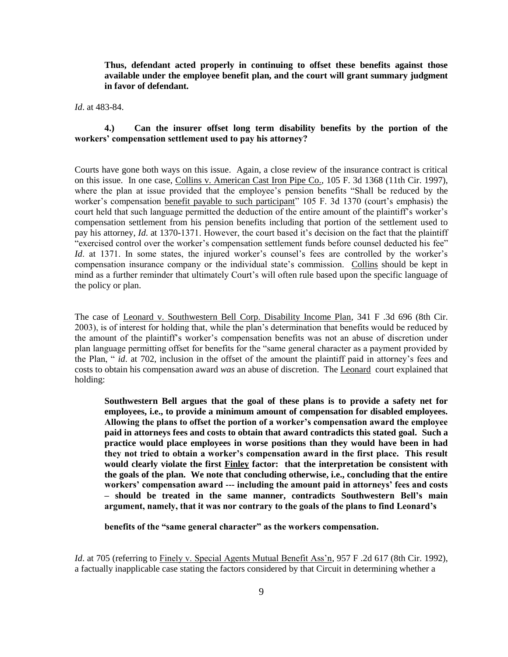**Thus, defendant acted properly in continuing to offset these benefits against those available under the employee benefit plan, and the court will grant summary judgment in favor of defendant.**

*Id*. at 483-84.

# **4.) Can the insurer offset long term disability benefits by the portion of the workers' compensation settlement used to pay his attorney?**

Courts have gone both ways on this issue. Again, a close review of the insurance contract is critical on this issue. In one case, Collins v. American Cast Iron Pipe Co., 105 F. 3d 1368 (11th Cir. 1997), where the plan at issue provided that the employee's pension benefits "Shall be reduced by the worker's compensation benefit payable to such participant" 105 F. 3d 1370 (court's emphasis) the court held that such language permitted the deduction of the entire amount of the plaintiff"s worker"s compensation settlement from his pension benefits including that portion of the settlement used to pay his attorney, *Id.* at 1370-1371. However, the court based it's decision on the fact that the plaintiff "exercised control over the worker"s compensation settlement funds before counsel deducted his fee" *Id.* at 1371. In some states, the injured worker's counsel's fees are controlled by the worker's compensation insurance company or the individual state"s commission. Collins should be kept in mind as a further reminder that ultimately Court's will often rule based upon the specific language of the policy or plan.

The case of Leonard v. Southwestern Bell Corp. Disability Income Plan, 341 F .3d 696 (8th Cir. 2003), is of interest for holding that, while the plan"s determination that benefits would be reduced by the amount of the plaintiff"s worker"s compensation benefits was not an abuse of discretion under plan language permitting offset for benefits for the "same general character as a payment provided by the Plan, " *id*. at 702, inclusion in the offset of the amount the plaintiff paid in attorney"s fees and costs to obtain his compensation award *was* an abuse of discretion. The Leonard court explained that holding:

**Southwestern Bell argues that the goal of these plans is to provide a safety net for employees, i.e., to provide a minimum amount of compensation for disabled employees. Allowing the plans to offset the portion of a worker's compensation award the employee paid in attorneys fees and costs to obtain that award contradicts this stated goal. Such a practice would place employees in worse positions than they would have been in had they not tried to obtain a worker's compensation award in the first place. This result would clearly violate the first Finley factor: that the interpretation be consistent with the goals of the plan. We note that concluding otherwise, i.e., concluding that the entire workers' compensation award --- including the amount paid in attorneys' fees and costs – should be treated in the same manner, contradicts Southwestern Bell's main argument, namely, that it was nor contrary to the goals of the plans to find Leonard's** 

**benefits of the "same general character" as the workers compensation.** 

*Id.* at 705 (referring to Finely v. Special Agents Mutual Benefit Ass'n, 957 F .2d 617 (8th Cir. 1992), a factually inapplicable case stating the factors considered by that Circuit in determining whether a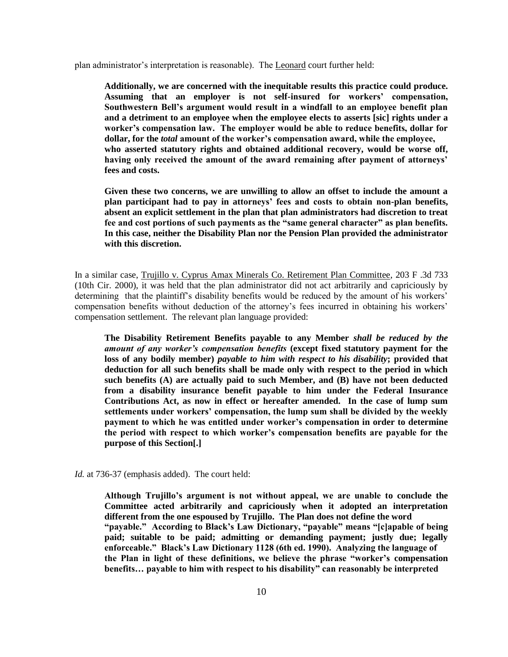plan administrator"s interpretation is reasonable). The Leonard court further held:

**Additionally, we are concerned with the inequitable results this practice could produce. Assuming that an employer is not self-insured for workers' compensation, Southwestern Bell's argument would result in a windfall to an employee benefit plan and a detriment to an employee when the employee elects to asserts [sic] rights under a worker's compensation law. The employer would be able to reduce benefits, dollar for dollar, for the** *total* **amount of the worker's compensation award, while the employee, who asserted statutory rights and obtained additional recovery, would be worse off, having only received the amount of the award remaining after payment of attorneys' fees and costs.** 

**Given these two concerns, we are unwilling to allow an offset to include the amount a plan participant had to pay in attorneys' fees and costs to obtain non-plan benefits, absent an explicit settlement in the plan that plan administrators had discretion to treat fee and cost portions of such payments as the "same general character" as plan benefits. In this case, neither the Disability Plan nor the Pension Plan provided the administrator with this discretion.**

In a similar case, Trujillo v. Cyprus Amax Minerals Co. Retirement Plan Committee, 203 F .3d 733 (10th Cir. 2000), it was held that the plan administrator did not act arbitrarily and capriciously by determining that the plaintiff's disability benefits would be reduced by the amount of his workers' compensation benefits without deduction of the attorney"s fees incurred in obtaining his workers" compensation settlement. The relevant plan language provided:

**The Disability Retirement Benefits payable to any Member** *shall be reduced by the amount of any worker's compensation benefits* **(except fixed statutory payment for the loss of any bodily member)** *payable to him with respect to his disability***; provided that deduction for all such benefits shall be made only with respect to the period in which such benefits (A) are actually paid to such Member, and (B) have not been deducted from a disability insurance benefit payable to him under the Federal Insurance Contributions Act, as now in effect or hereafter amended. In the case of lump sum settlements under workers' compensation, the lump sum shall be divided by the weekly payment to which he was entitled under worker's compensation in order to determine the period with respect to which worker's compensation benefits are payable for the purpose of this Section[.]**

*Id.* at 736-37 (emphasis added). The court held:

**Although Trujillo's argument is not without appeal, we are unable to conclude the Committee acted arbitrarily and capriciously when it adopted an interpretation different from the one espoused by Trujillo. The Plan does not define the word "payable." According to Black's Law Dictionary, "payable" means "[c]apable of being paid; suitable to be paid; admitting or demanding payment; justly due; legally enforceable." Black's Law Dictionary 1128 (6th ed. 1990). Analyzing the language of the Plan in light of these definitions, we believe the phrase "worker's compensation benefits… payable to him with respect to his disability" can reasonably be interpreted**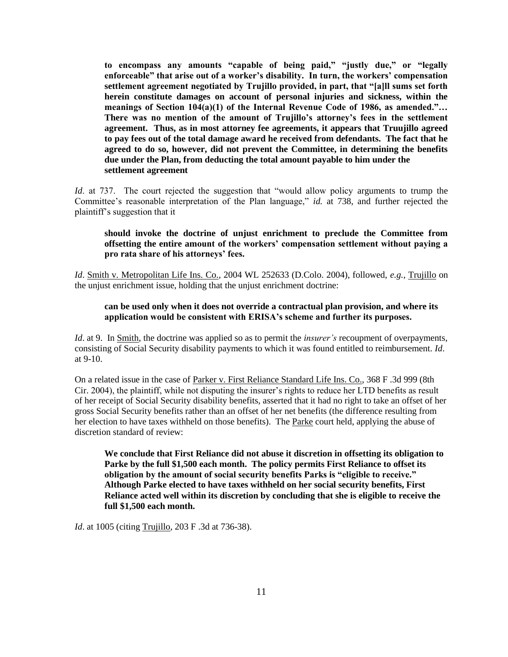**to encompass any amounts "capable of being paid," "justly due," or "legally enforceable" that arise out of a worker's disability. In turn, the workers' compensation settlement agreement negotiated by Trujillo provided, in part, that "[a]ll sums set forth herein constitute damages on account of personal injuries and sickness, within the meanings of Section 104(a)(1) of the Internal Revenue Code of 1986, as amended."… There was no mention of the amount of Trujillo's attorney's fees in the settlement agreement. Thus, as in most attorney fee agreements, it appears that Truujillo agreed to pay fees out of the total damage award he received from defendants. The fact that he agreed to do so, however, did not prevent the Committee, in determining the benefits due under the Plan, from deducting the total amount payable to him under the settlement agreement**

*Id.* at 737. The court rejected the suggestion that "would allow policy arguments to trump the Committee's reasonable interpretation of the Plan language," *id.* at 738, and further rejected the plaintiff"s suggestion that it

# **should invoke the doctrine of unjust enrichment to preclude the Committee from offsetting the entire amount of the workers' compensation settlement without paying a pro rata share of his attorneys' fees.**

*Id*. Smith v. Metropolitan Life Ins. Co., 2004 WL 252633 (D.Colo. 2004), followed, *e.g.*, Trujillo on the unjust enrichment issue, holding that the unjust enrichment doctrine:

## **can be used only when it does not override a contractual plan provision, and where its application would be consistent with ERISA's scheme and further its purposes.**

*Id.* at 9. In <u>Smith</u>, the doctrine was applied so as to permit the *insurer's* recoupment of overpayments, consisting of Social Security disability payments to which it was found entitled to reimbursement. *Id*. at 9-10.

On a related issue in the case of Parker v. First Reliance Standard Life Ins. Co., 368 F .3d 999 (8th Cir. 2004), the plaintiff, while not disputing the insurer"s rights to reduce her LTD benefits as result of her receipt of Social Security disability benefits, asserted that it had no right to take an offset of her gross Social Security benefits rather than an offset of her net benefits (the difference resulting from her election to have taxes withheld on those benefits). The Parke court held, applying the abuse of discretion standard of review:

**We conclude that First Reliance did not abuse it discretion in offsetting its obligation to Parke by the full \$1,500 each month. The policy permits First Reliance to offset its obligation by the amount of social security benefits Parks is "eligible to receive." Although Parke elected to have taxes withheld on her social security benefits, First Reliance acted well within its discretion by concluding that she is eligible to receive the full \$1,500 each month.**

*Id*. at 1005 (citing Trujillo, 203 F .3d at 736-38).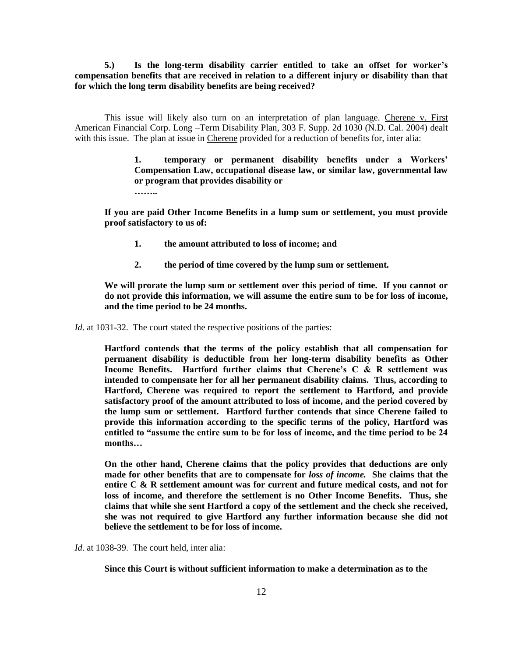**5.) Is the long-term disability carrier entitled to take an offset for worker's compensation benefits that are received in relation to a different injury or disability than that for which the long term disability benefits are being received?**

This issue will likely also turn on an interpretation of plan language. Cherene v. First American Financial Corp. Long –Term Disability Plan, 303 F. Supp. 2d 1030 (N.D. Cal. 2004) dealt with this issue. The plan at issue in Cherene provided for a reduction of benefits for, inter alia:

> **1. temporary or permanent disability benefits under a Workers' Compensation Law, occupational disease law, or similar law, governmental law or program that provides disability or ……..**

**If you are paid Other Income Benefits in a lump sum or settlement, you must provide proof satisfactory to us of:**

- **1. the amount attributed to loss of income; and**
- **2. the period of time covered by the lump sum or settlement.**

**We will prorate the lump sum or settlement over this period of time. If you cannot or do not provide this information, we will assume the entire sum to be for loss of income, and the time period to be 24 months.**

*Id.* at 1031-32. The court stated the respective positions of the parties:

**Hartford contends that the terms of the policy establish that all compensation for permanent disability is deductible from her long-term disability benefits as Other Income Benefits. Hartford further claims that Cherene's C & R settlement was intended to compensate her for all her permanent disability claims. Thus, according to Hartford, Cherene was required to report the settlement to Hartford, and provide satisfactory proof of the amount attributed to loss of income, and the period covered by the lump sum or settlement. Hartford further contends that since Cherene failed to provide this information according to the specific terms of the policy, Hartford was entitled to "assume the entire sum to be for loss of income, and the time period to be 24 months…**

**On the other hand, Cherene claims that the policy provides that deductions are only made for other benefits that are to compensate for** *loss of income.* **She claims that the entire C & R settlement amount was for current and future medical costs, and not for loss of income, and therefore the settlement is no Other Income Benefits. Thus, she claims that while she sent Hartford a copy of the settlement and the check she received, she was not required to give Hartford any further information because she did not believe the settlement to be for loss of income.**

*Id.* at 1038-39. The court held, inter alia:

**Since this Court is without sufficient information to make a determination as to the**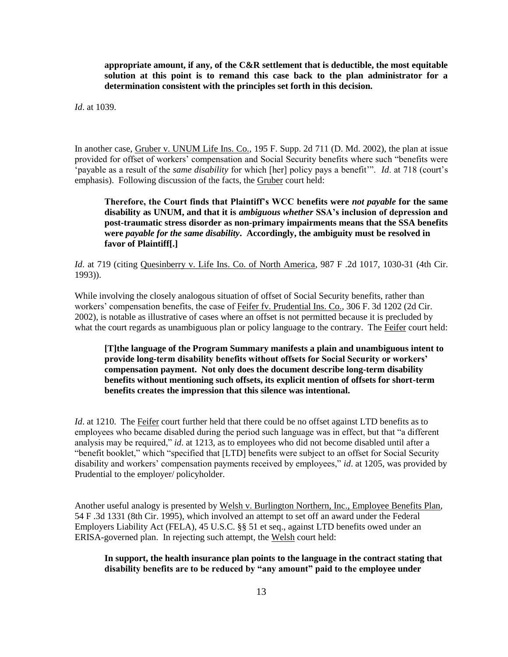**appropriate amount, if any, of the C&R settlement that is deductible, the most equitable solution at this point is to remand this case back to the plan administrator for a determination consistent with the principles set forth in this decision.**

*Id*. at 1039.

In another case, Gruber v. UNUM Life Ins. Co., 195 F. Supp. 2d 711 (D. Md. 2002), the plan at issue provided for offset of workers" compensation and Social Security benefits where such "benefits were "payable as a result of the *same disability* for which [her] policy pays a benefit"". *Id*. at 718 (court"s emphasis). Following discussion of the facts, the Gruber court held:

**Therefore, the Court finds that Plaintiff's WCC benefits were** *not payable* **for the same disability as UNUM, and that it is** *ambiguous whether* **SSA's inclusion of depression and post-traumatic stress disorder as non-primary impairments means that the SSA benefits were** *payable for the same disability***. Accordingly, the ambiguity must be resolved in favor of Plaintiff[.]**

*Id.* at 719 (citing Quesinberry v. Life Ins. Co. of North America, 987 F .2d 1017, 1030-31 (4th Cir. 1993)).

While involving the closely analogous situation of offset of Social Security benefits, rather than workers" compensation benefits, the case of Feifer fv. Prudential Ins. Co., 306 F. 3d 1202 (2d Cir. 2002), is notable as illustrative of cases where an offset is not permitted because it is precluded by what the court regards as unambiguous plan or policy language to the contrary. The Feifer court held:

**[T]the language of the Program Summary manifests a plain and unambiguous intent to provide long-term disability benefits without offsets for Social Security or workers' compensation payment. Not only does the document describe long-term disability benefits without mentioning such offsets, its explicit mention of offsets for short-term benefits creates the impression that this silence was intentional.** 

*Id*. at 1210. The Feifer court further held that there could be no offset against LTD benefits as to employees who became disabled during the period such language was in effect, but that "a different analysis may be required," *id*. at 1213, as to employees who did not become disabled until after a "benefit booklet," which "specified that [LTD] benefits were subject to an offset for Social Security disability and workers' compensation payments received by employees," *id.* at 1205, was provided by Prudential to the employer/ policyholder.

Another useful analogy is presented by Welsh v. Burlington Northern, Inc., Employee Benefits Plan, 54 F .3d 1331 (8th Cir. 1995), which involved an attempt to set off an award under the Federal Employers Liability Act (FELA), 45 U.S.C. §§ 51 et seq., against LTD benefits owed under an ERISA-governed plan. In rejecting such attempt, the Welsh court held:

**In support, the health insurance plan points to the language in the contract stating that disability benefits are to be reduced by "any amount" paid to the employee under**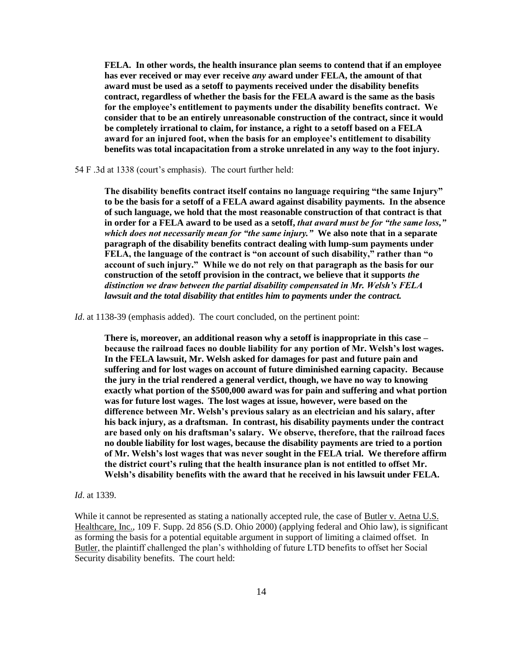**FELA. In other words, the health insurance plan seems to contend that if an employee has ever received or may ever receive** *any* **award under FELA, the amount of that award must be used as a setoff to payments received under the disability benefits contract, regardless of whether the basis for the FELA award is the same as the basis for the employee's entitlement to payments under the disability benefits contract. We consider that to be an entirely unreasonable construction of the contract, since it would be completely irrational to claim, for instance, a right to a setoff based on a FELA award for an injured foot, when the basis for an employee's entitlement to disability benefits was total incapacitation from a stroke unrelated in any way to the foot injury.**

54 F .3d at 1338 (court"s emphasis). The court further held:

**The disability benefits contract itself contains no language requiring "the same Injury" to be the basis for a setoff of a FELA award against disability payments. In the absence of such language, we hold that the most reasonable construction of that contract is that in order for a FELA award to be used as a setoff,** *that award must be for "the same loss," which does not necessarily mean for "the same injury."* **We also note that in a separate paragraph of the disability benefits contract dealing with lump-sum payments under FELA, the language of the contract is "on account of such disability," rather than "o account of such injury." While we do not rely on that paragraph as the basis for our construction of the setoff provision in the contract, we believe that it supports** *the distinction we draw between the partial disability compensated in Mr. Welsh's FELA lawsuit and the total disability that entitles him to payments under the contract.* 

*Id.* at 1138-39 (emphasis added). The court concluded, on the pertinent point:

**There is, moreover, an additional reason why a setoff is inappropriate in this case – because the railroad faces no double liability for any portion of Mr. Welsh's lost wages. In the FELA lawsuit, Mr. Welsh asked for damages for past and future pain and suffering and for lost wages on account of future diminished earning capacity. Because the jury in the trial rendered a general verdict, though, we have no way to knowing exactly what portion of the \$500,000 award was for pain and suffering and what portion was for future lost wages. The lost wages at issue, however, were based on the difference between Mr. Welsh's previous salary as an electrician and his salary, after his back injury, as a draftsman. In contrast, his disability payments under the contract are based only on his draftsman's salary. We observe, therefore, that the railroad faces no double liability for lost wages, because the disability payments are tried to a portion of Mr. Welsh's lost wages that was never sought in the FELA trial. We therefore affirm the district court's ruling that the health insurance plan is not entitled to offset Mr. Welsh's disability benefits with the award that he received in his lawsuit under FELA.**

#### *Id*. at 1339.

While it cannot be represented as stating a nationally accepted rule, the case of Butler v. Aetna U.S. Healthcare, Inc., 109 F. Supp. 2d 856 (S.D. Ohio 2000) (applying federal and Ohio law), is significant as forming the basis for a potential equitable argument in support of limiting a claimed offset. In Butler, the plaintiff challenged the plan's withholding of future LTD benefits to offset her Social Security disability benefits. The court held: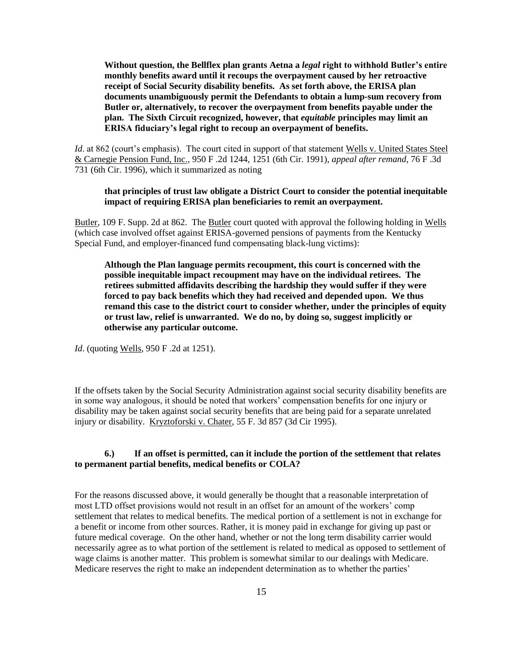**Without question, the Bellflex plan grants Aetna a** *legal* **right to withhold Butler's entire monthly benefits award until it recoups the overpayment caused by her retroactive receipt of Social Security disability benefits. As set forth above, the ERISA plan documents unambiguously permit the Defendants to obtain a lump-sum recovery from Butler or, alternatively, to recover the overpayment from benefits payable under the plan. The Sixth Circuit recognized, however, that** *equitable* **principles may limit an ERISA fiduciary's legal right to recoup an overpayment of benefits.**

*Id*. at 862 (court's emphasis). The court cited in support of that statement Wells v. United States Steel & Carnegie Pension Fund, Inc., 950 F .2d 1244, 1251 (6th Cir. 1991), *appeal after remand*, 76 F .3d 731 (6th Cir. 1996), which it summarized as noting

# **that principles of trust law obligate a District Court to consider the potential inequitable impact of requiring ERISA plan beneficiaries to remit an overpayment.**

Butler, 109 F. Supp. 2d at 862. The Butler court quoted with approval the following holding in Wells (which case involved offset against ERISA-governed pensions of payments from the Kentucky Special Fund, and employer-financed fund compensating black-lung victims):

**Although the Plan language permits recoupment, this court is concerned with the possible inequitable impact recoupment may have on the individual retirees. The retirees submitted affidavits describing the hardship they would suffer if they were forced to pay back benefits which they had received and depended upon. We thus remand this case to the district court to consider whether, under the principles of equity or trust law, relief is unwarranted. We do no, by doing so, suggest implicitly or otherwise any particular outcome.**

*Id.* (quoting Wells, 950 F .2d at 1251).

If the offsets taken by the Social Security Administration against social security disability benefits are in some way analogous, it should be noted that workers" compensation benefits for one injury or disability may be taken against social security benefits that are being paid for a separate unrelated injury or disability. Kryztoforski v. Chater, 55 F. 3d 857 (3d Cir 1995).

#### **6.) If an offset is permitted, can it include the portion of the settlement that relates to permanent partial benefits, medical benefits or COLA?**

For the reasons discussed above, it would generally be thought that a reasonable interpretation of most LTD offset provisions would not result in an offset for an amount of the workers" comp settlement that relates to medical benefits. The medical portion of a settlement is not in exchange for a benefit or income from other sources. Rather, it is money paid in exchange for giving up past or future medical coverage. On the other hand, whether or not the long term disability carrier would necessarily agree as to what portion of the settlement is related to medical as opposed to settlement of wage claims is another matter. This problem is somewhat similar to our dealings with Medicare. Medicare reserves the right to make an independent determination as to whether the parties"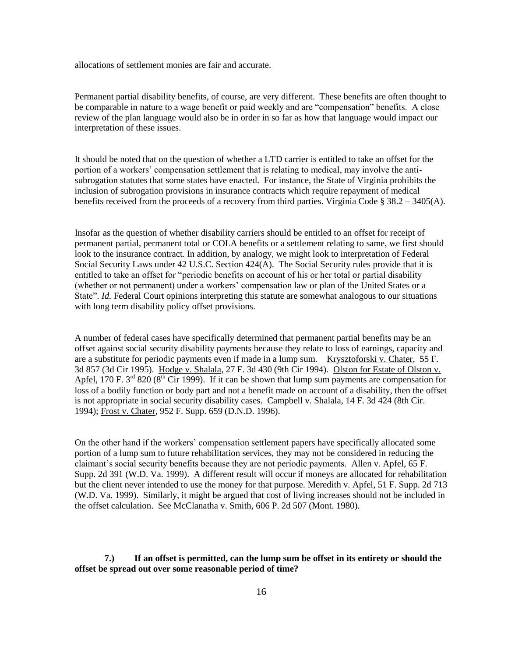allocations of settlement monies are fair and accurate.

Permanent partial disability benefits, of course, are very different. These benefits are often thought to be comparable in nature to a wage benefit or paid weekly and are "compensation" benefits. A close review of the plan language would also be in order in so far as how that language would impact our interpretation of these issues.

It should be noted that on the question of whether a LTD carrier is entitled to take an offset for the portion of a workers" compensation settlement that is relating to medical, may involve the antisubrogation statutes that some states have enacted. For instance, the State of Virginia prohibits the inclusion of subrogation provisions in insurance contracts which require repayment of medical benefits received from the proceeds of a recovery from third parties. Virginia Code §  $38.2 - 3405(A)$ .

Insofar as the question of whether disability carriers should be entitled to an offset for receipt of permanent partial, permanent total or COLA benefits or a settlement relating to same, we first should look to the insurance contract. In addition, by analogy, we might look to interpretation of Federal Social Security Laws under 42 U.S.C. Section 424(A). The Social Security rules provide that it is entitled to take an offset for "periodic benefits on account of his or her total or partial disability (whether or not permanent) under a workers" compensation law or plan of the United States or a State". *Id.* Federal Court opinions interpreting this statute are somewhat analogous to our situations with long term disability policy offset provisions.

A number of federal cases have specifically determined that permanent partial benefits may be an offset against social security disability payments because they relate to loss of earnings, capacity and are a substitute for periodic payments even if made in a lump sum. Krysztoforski v. Chater, 55 F. 3d 857 (3d Cir 1995). Hodge v. Shalala, 27 F. 3d 430 (9th Cir 1994). Olston for Estate of Olston v. Apfel, 170 F.  $3^{rd}$  820 ( $8^{th}$  Cir 1999). If it can be shown that lump sum payments are compensation for loss of a bodily function or body part and not a benefit made on account of a disability, then the offset is not appropriate in social security disability cases. Campbell v. Shalala, 14 F. 3d 424 (8th Cir. 1994); Frost v. Chater, 952 F. Supp. 659 (D.N.D. 1996).

On the other hand if the workers" compensation settlement papers have specifically allocated some portion of a lump sum to future rehabilitation services, they may not be considered in reducing the claimant"s social security benefits because they are not periodic payments. Allen v. Apfel, 65 F. Supp. 2d 391 (W.D. Va. 1999). A different result will occur if moneys are allocated for rehabilitation but the client never intended to use the money for that purpose. Meredith v. Apfel, 51 F. Supp. 2d 713 (W.D. Va. 1999). Similarly, it might be argued that cost of living increases should not be included in the offset calculation. See McClanatha v. Smith, 606 P. 2d 507 (Mont. 1980).

**7.) If an offset is permitted, can the lump sum be offset in its entirety or should the offset be spread out over some reasonable period of time?**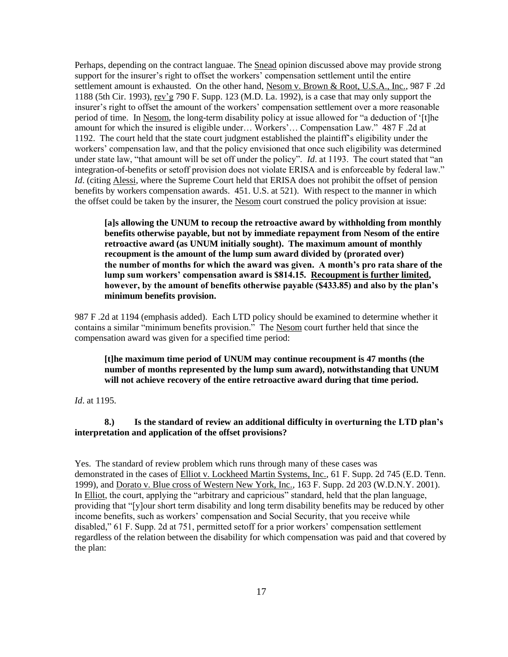Perhaps, depending on the contract languae. The Snead opinion discussed above may provide strong support for the insurer's right to offset the workers' compensation settlement until the entire settlement amount is exhausted. On the other hand, Nesom v. Brown & Root, U.S.A., Inc., 987 F .2d 1188 (5th Cir. 1993), rev"g 790 F. Supp. 123 (M.D. La. 1992), is a case that may only support the insurer"s right to offset the amount of the workers" compensation settlement over a more reasonable period of time. In Nesom, the long-term disability policy at issue allowed for "a deduction of "[t]he amount for which the insured is eligible under… Workers'... Compensation Law." 487 F .2d at 1192. The court held that the state court judgment established the plaintiff"s eligibility under the workers" compensation law, and that the policy envisioned that once such eligibility was determined under state law, "that amount will be set off under the policy". *Id.* at 1193. The court stated that "an integration-of-benefits or setoff provision does not violate ERISA and is enforceable by federal law." *Id.* (citing Alessi, where the Supreme Court held that ERISA does not prohibit the offset of pension benefits by workers compensation awards. 451. U.S. at 521). With respect to the manner in which the offset could be taken by the insurer, the Nesom court construed the policy provision at issue:

**[a]s allowing the UNUM to recoup the retroactive award by withholding from monthly benefits otherwise payable, but not by immediate repayment from Nesom of the entire retroactive award (as UNUM initially sought). The maximum amount of monthly recoupment is the amount of the lump sum award divided by (prorated over) the number of months for which the award was given. A month's pro rata share of the lump sum workers' compensation award is \$814.15. Recoupment is further limited, however, by the amount of benefits otherwise payable (\$433.85) and also by the plan's minimum benefits provision.**

987 F .2d at 1194 (emphasis added). Each LTD policy should be examined to determine whether it contains a similar "minimum benefits provision." The Nesom court further held that since the compensation award was given for a specified time period:

**[t]he maximum time period of UNUM may continue recoupment is 47 months (the number of months represented by the lump sum award), notwithstanding that UNUM will not achieve recovery of the entire retroactive award during that time period.**

*Id*. at 1195.

**8.) Is the standard of review an additional difficulty in overturning the LTD plan's interpretation and application of the offset provisions?**

Yes. The standard of review problem which runs through many of these cases was demonstrated in the cases of Elliot v. Lockheed Martin Systems, Inc., 61 F. Supp. 2d 745 (E.D. Tenn. 1999), and Dorato v. Blue cross of Western New York, Inc., 163 F. Supp. 2d 203 (W.D.N.Y. 2001). In **Elliot**, the court, applying the "arbitrary and capricious" standard, held that the plan language, providing that "[y]our short term disability and long term disability benefits may be reduced by other income benefits, such as workers' compensation and Social Security, that you receive while disabled," 61 F. Supp. 2d at 751, permitted setoff for a prior workers' compensation settlement regardless of the relation between the disability for which compensation was paid and that covered by the plan: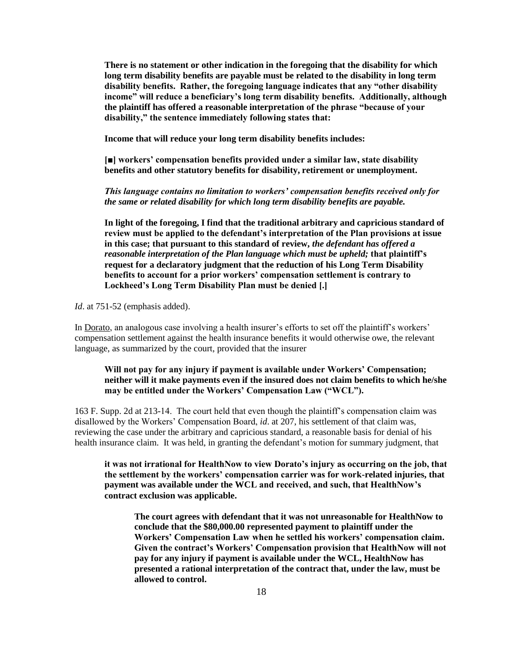**There is no statement or other indication in the foregoing that the disability for which long term disability benefits are payable must be related to the disability in long term disability benefits. Rather, the foregoing language indicates that any "other disability income" will reduce a beneficiary's long term disability benefits. Additionally, although the plaintiff has offered a reasonable interpretation of the phrase "because of your disability," the sentence immediately following states that:**

**Income that will reduce your long term disability benefits includes:**

**[■] workers' compensation benefits provided under a similar law, state disability benefits and other statutory benefits for disability, retirement or unemployment.**

*This language contains no limitation to workers' compensation benefits received only for the same or related disability for which long term disability benefits are payable.*

**In light of the foregoing, I find that the traditional arbitrary and capricious standard of review must be applied to the defendant's interpretation of the Plan provisions at issue in this case; that pursuant to this standard of review,** *the defendant has offered a reasonable interpretation of the Plan language which must be upheld;* **that plaintiff's request for a declaratory judgment that the reduction of his Long Term Disability benefits to account for a prior workers' compensation settlement is contrary to Lockheed's Long Term Disability Plan must be denied [.]**

*Id*. at 751-52 (emphasis added).

In Dorato, an analogous case involving a health insurer's efforts to set off the plaintiff's workers' compensation settlement against the health insurance benefits it would otherwise owe, the relevant language, as summarized by the court, provided that the insurer

# **Will not pay for any injury if payment is available under Workers' Compensation; neither will it make payments even if the insured does not claim benefits to which he/she may be entitled under the Workers' Compensation Law ("WCL").**

163 F. Supp. 2d at 213-14. The court held that even though the plaintiff"s compensation claim was disallowed by the Workers" Compensation Board, *id*. at 207, his settlement of that claim was, reviewing the case under the arbitrary and capricious standard, a reasonable basis for denial of his health insurance claim. It was held, in granting the defendant's motion for summary judgment, that

**it was not irrational for HealthNow to view Dorato's injury as occurring on the job, that the settlement by the workers' compensation carrier was for work-related injuries, that payment was available under the WCL and received, and such, that HealthNow's contract exclusion was applicable.** 

**The court agrees with defendant that it was not unreasonable for HealthNow to conclude that the \$80,000.00 represented payment to plaintiff under the Workers' Compensation Law when he settled his workers' compensation claim. Given the contract's Workers' Compensation provision that HealthNow will not pay for any injury if payment is available under the WCL, HealthNow has presented a rational interpretation of the contract that, under the law, must be allowed to control.**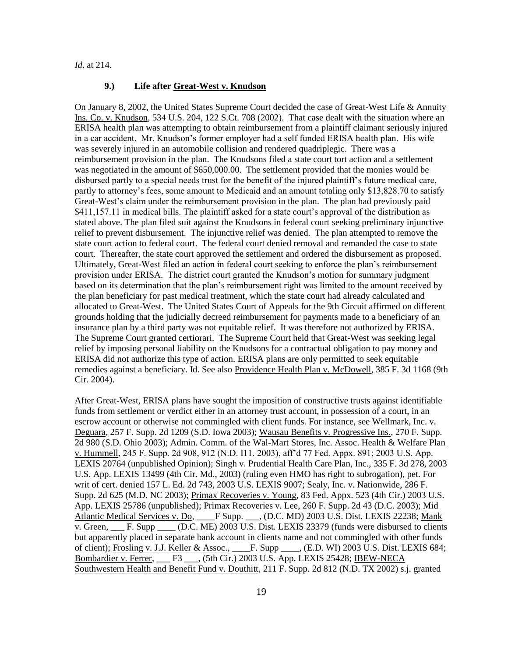*Id*. at 214.

### **9.) Life after Great-West v. Knudson**

On January 8, 2002, the United States Supreme Court decided the case of Great-West Life & Annuity Ins. Co. v. Knudson, 534 U.S. 204, 122 S.Ct. 708 (2002). That case dealt with the situation where an ERISA health plan was attempting to obtain reimbursement from a plaintiff claimant seriously injured in a car accident. Mr. Knudson"s former employer had a self funded ERISA health plan. His wife was severely injured in an automobile collision and rendered quadriplegic. There was a reimbursement provision in the plan. The Knudsons filed a state court tort action and a settlement was negotiated in the amount of \$650,000.00. The settlement provided that the monies would be disbursed partly to a special needs trust for the benefit of the injured plaintiff"s future medical care, partly to attorney"s fees, some amount to Medicaid and an amount totaling only \$13,828.70 to satisfy Great-West"s claim under the reimbursement provision in the plan. The plan had previously paid \$411,157.11 in medical bills. The plaintiff asked for a state court's approval of the distribution as stated above. The plan filed suit against the Knudsons in federal court seeking preliminary injunctive relief to prevent disbursement. The injunctive relief was denied. The plan attempted to remove the state court action to federal court. The federal court denied removal and remanded the case to state court. Thereafter, the state court approved the settlement and ordered the disbursement as proposed. Ultimately, Great-West filed an action in federal court seeking to enforce the plan"s reimbursement provision under ERISA. The district court granted the Knudson"s motion for summary judgment based on its determination that the plan"s reimbursement right was limited to the amount received by the plan beneficiary for past medical treatment, which the state court had already calculated and allocated to Great-West. The United States Court of Appeals for the 9th Circuit affirmed on different grounds holding that the judicially decreed reimbursement for payments made to a beneficiary of an insurance plan by a third party was not equitable relief. It was therefore not authorized by ERISA. The Supreme Court granted certiorari. The Supreme Court held that Great-West was seeking legal relief by imposing personal liability on the Knudsons for a contractual obligation to pay money and ERISA did not authorize this type of action. ERISA plans are only permitted to seek equitable remedies against a beneficiary. Id. See also Providence Health Plan v. McDowell, 385 F. 3d 1168 (9th Cir. 2004).

After Great-West, ERISA plans have sought the imposition of constructive trusts against identifiable funds from settlement or verdict either in an attorney trust account, in possession of a court, in an escrow account or otherwise not commingled with client funds. For instance, see Wellmark, Inc. v. Deguara, 257 F. Supp. 2d 1209 (S.D. Iowa 2003); Wausau Benefits v. Progressive Ins., 270 F. Supp. 2d 980 (S.D. Ohio 2003); Admin. Comm. of the Wal-Mart Stores, Inc. Assoc. Health & Welfare Plan v. Hummell, 245 F. Supp. 2d 908, 912 (N.D. I11. 2003), aff"d 77 Fed. Appx. 891; 2003 U.S. App. LEXIS 20764 (unpublished Opinion); Singh v. Prudential Health Care Plan, Inc., 335 F. 3d 278, 2003 U.S. App. LEXIS 13499 (4th Cir. Md., 2003) (ruling even HMO has right to subrogation), pet. For writ of cert. denied 157 L. Ed. 2d 743, 2003 U.S. LEXIS 9007; Sealy, Inc. v. Nationwide, 286 F. Supp. 2d 625 (M.D. NC 2003); Primax Recoveries v. Young, 83 Fed. Appx. 523 (4th Cir.) 2003 U.S. App. LEXIS 25786 (unpublished); Primax Recoveries v. Lee, 260 F. Supp. 2d 43 (D.C. 2003); Mid Atlantic Medical Services v. Do, F Supp. (D.C. MD) 2003 U.S. Dist. LEXIS 22238; Mank v. Green, \_\_\_ F. Supp \_\_\_\_ (D.C. ME) 2003 U.S. Dist. LEXIS 23379 (funds were disbursed to clients but apparently placed in separate bank account in clients name and not commingled with other funds of client); Frosling v. J.J. Keller & Assoc., \_\_\_\_F. Supp \_\_\_\_, (E.D. WI) 2003 U.S. Dist. LEXIS 684; Bombardier v. Ferrer, F3 (5th Cir.) 2003 U.S. App. LEXIS 25428; IBEW-NECA Southwestern Health and Benefit Fund v. Douthitt, 211 F. Supp. 2d 812 (N.D. TX 2002) s.j. granted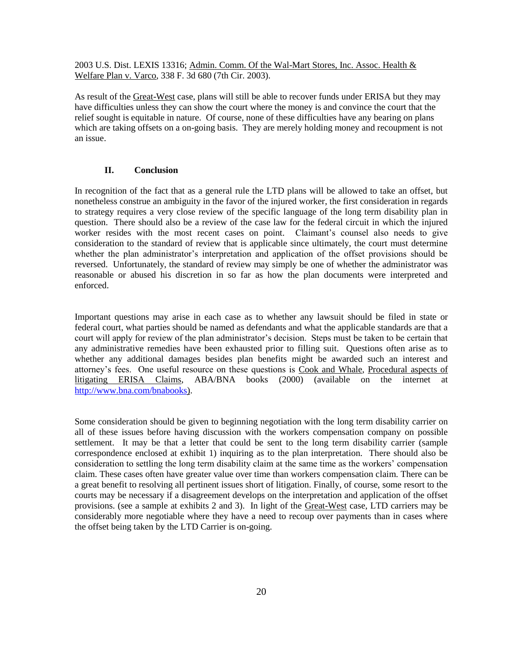2003 U.S. Dist. LEXIS 13316; Admin. Comm. Of the Wal-Mart Stores, Inc. Assoc. Health & Welfare Plan v. Varco, 338 F. 3d 680 (7th Cir. 2003).

As result of the Great-West case, plans will still be able to recover funds under ERISA but they may have difficulties unless they can show the court where the money is and convince the court that the relief sought is equitable in nature. Of course, none of these difficulties have any bearing on plans which are taking offsets on a on-going basis. They are merely holding money and recoupment is not an issue.

## **II. Conclusion**

In recognition of the fact that as a general rule the LTD plans will be allowed to take an offset, but nonetheless construe an ambiguity in the favor of the injured worker, the first consideration in regards to strategy requires a very close review of the specific language of the long term disability plan in question. There should also be a review of the case law for the federal circuit in which the injured worker resides with the most recent cases on point. Claimant's counsel also needs to give consideration to the standard of review that is applicable since ultimately, the court must determine whether the plan administrator's interpretation and application of the offset provisions should be reversed. Unfortunately, the standard of review may simply be one of whether the administrator was reasonable or abused his discretion in so far as how the plan documents were interpreted and enforced.

Important questions may arise in each case as to whether any lawsuit should be filed in state or federal court, what parties should be named as defendants and what the applicable standards are that a court will apply for review of the plan administrator's decision. Steps must be taken to be certain that any administrative remedies have been exhausted prior to filling suit. Questions often arise as to whether any additional damages besides plan benefits might be awarded such an interest and attorney"s fees. One useful resource on these questions is Cook and Whale, Procedural aspects of litigating ERISA Claims, ABA/BNA books (2000) (available on the internet at [http://www.bna.com/bnabooks\)](http://www.bna.com/bnabooks/ababna/authors.htm).

Some consideration should be given to beginning negotiation with the long term disability carrier on all of these issues before having discussion with the workers compensation company on possible settlement. It may be that a letter that could be sent to the long term disability carrier (sample correspondence enclosed at exhibit 1) inquiring as to the plan interpretation. There should also be consideration to settling the long term disability claim at the same time as the workers" compensation claim. These cases often have greater value over time than workers compensation claim. There can be a great benefit to resolving all pertinent issues short of litigation. Finally, of course, some resort to the courts may be necessary if a disagreement develops on the interpretation and application of the offset provisions. (see a sample at exhibits 2 and 3). In light of the Great-West case, LTD carriers may be considerably more negotiable where they have a need to recoup over payments than in cases where the offset being taken by the LTD Carrier is on-going.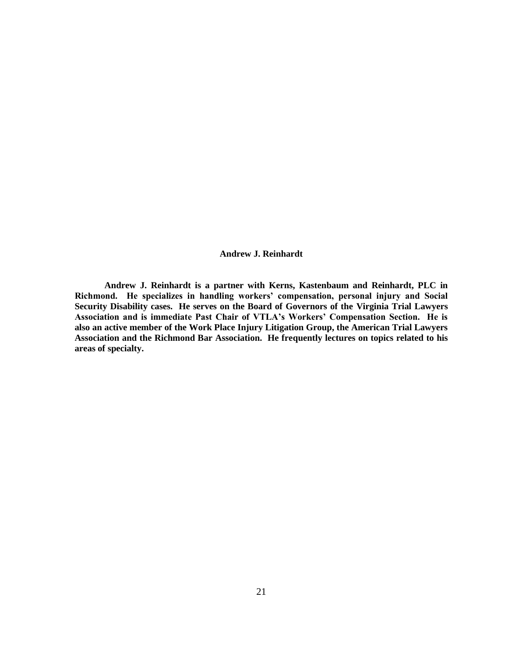**Andrew J. Reinhardt**

**Andrew J. Reinhardt is a partner with Kerns, Kastenbaum and Reinhardt, PLC in Richmond. He specializes in handling workers' compensation, personal injury and Social Security Disability cases. He serves on the Board of Governors of the Virginia Trial Lawyers Association and is immediate Past Chair of VTLA's Workers' Compensation Section. He is also an active member of the Work Place Injury Litigation Group, the American Trial Lawyers Association and the Richmond Bar Association. He frequently lectures on topics related to his areas of specialty.**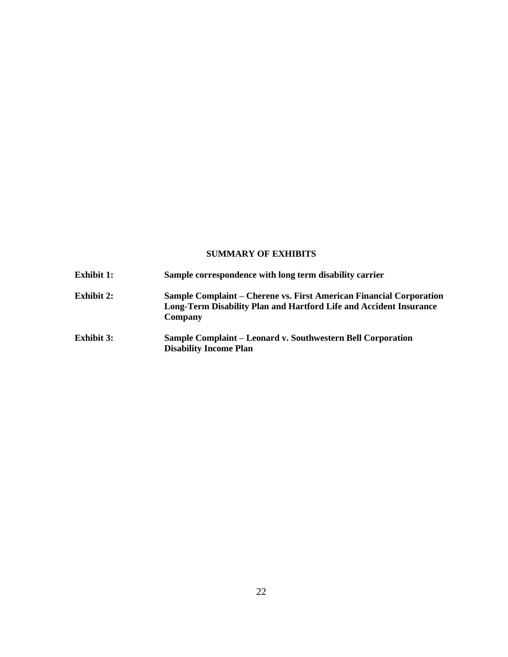# **SUMMARY OF EXHIBITS**

| <b>Exhibit 1:</b> | Sample correspondence with long term disability carrier                                                                                              |
|-------------------|------------------------------------------------------------------------------------------------------------------------------------------------------|
| <b>Exhibit 2:</b> | Sample Complaint – Cherene vs. First American Financial Corporation<br>Long-Term Disability Plan and Hartford Life and Accident Insurance<br>Company |
| <b>Exhibit 3:</b> | <b>Sample Complaint – Leonard v. Southwestern Bell Corporation</b><br><b>Disability Income Plan</b>                                                  |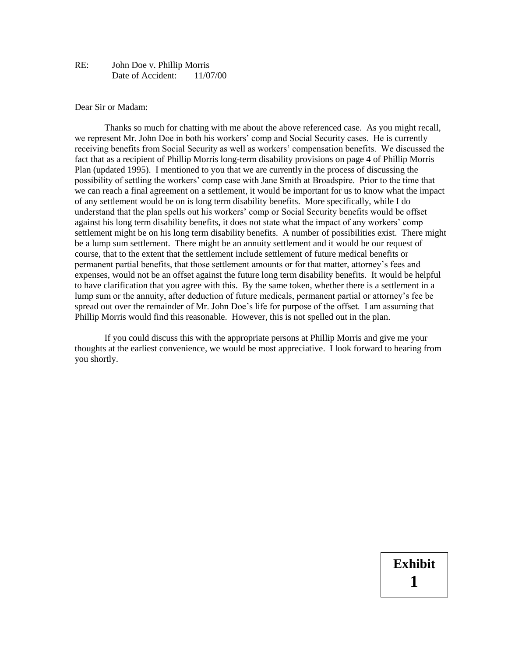## RE: John Doe v. Phillip Morris Date of Accident: 11/07/00

#### Dear Sir or Madam:

Thanks so much for chatting with me about the above referenced case. As you might recall, we represent Mr. John Doe in both his workers' comp and Social Security cases. He is currently receiving benefits from Social Security as well as workers' compensation benefits. We discussed the fact that as a recipient of Phillip Morris long-term disability provisions on page 4 of Phillip Morris Plan (updated 1995). I mentioned to you that we are currently in the process of discussing the possibility of settling the workers' comp case with Jane Smith at Broadspire. Prior to the time that we can reach a final agreement on a settlement, it would be important for us to know what the impact of any settlement would be on is long term disability benefits. More specifically, while I do understand that the plan spells out his workers' comp or Social Security benefits would be offset against his long term disability benefits, it does not state what the impact of any workers' comp settlement might be on his long term disability benefits. A number of possibilities exist. There might be a lump sum settlement. There might be an annuity settlement and it would be our request of course, that to the extent that the settlement include settlement of future medical benefits or permanent partial benefits, that those settlement amounts or for that matter, attorney's fees and expenses, would not be an offset against the future long term disability benefits. It would be helpful to have clarification that you agree with this. By the same token, whether there is a settlement in a lump sum or the annuity, after deduction of future medicals, permanent partial or attorney's fee be spread out over the remainder of Mr. John Doe's life for purpose of the offset. I am assuming that Phillip Morris would find this reasonable. However, this is not spelled out in the plan.

If you could discuss this with the appropriate persons at Phillip Morris and give me your thoughts at the earliest convenience, we would be most appreciative. I look forward to hearing from you shortly.

# **Exhibit 1**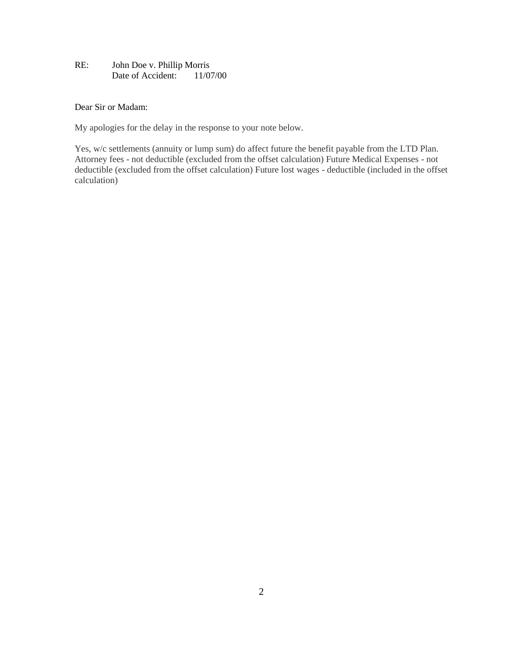# RE: John Doe v. Phillip Morris Date of Accident: 11/07/00

# Dear Sir or Madam:

My apologies for the delay in the response to your note below.

Yes, w/c settlements (annuity or lump sum) do affect future the benefit payable from the LTD Plan. Attorney fees - not deductible (excluded from the offset calculation) Future Medical Expenses - not deductible (excluded from the offset calculation) Future lost wages - deductible (included in the offset calculation)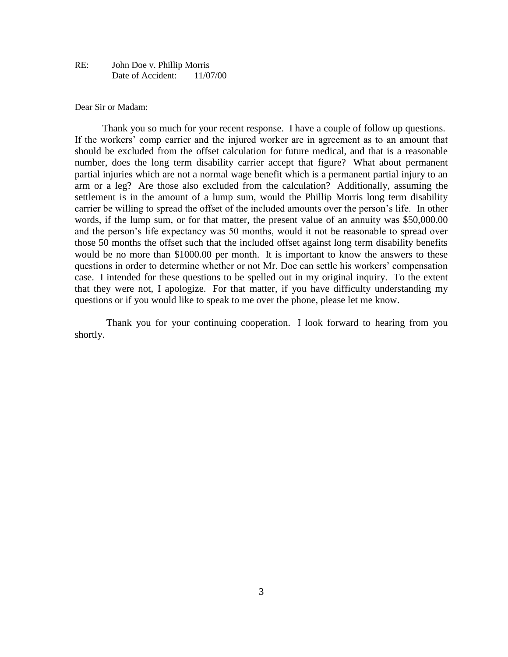## RE: John Doe v. Phillip Morris Date of Accident: 11/07/00

#### Dear Sir or Madam:

 Thank you so much for your recent response. I have a couple of follow up questions. If the workers' comp carrier and the injured worker are in agreement as to an amount that should be excluded from the offset calculation for future medical, and that is a reasonable number, does the long term disability carrier accept that figure? What about permanent partial injuries which are not a normal wage benefit which is a permanent partial injury to an arm or a leg? Are those also excluded from the calculation? Additionally, assuming the settlement is in the amount of a lump sum, would the Phillip Morris long term disability carrier be willing to spread the offset of the included amounts over the person's life. In other words, if the lump sum, or for that matter, the present value of an annuity was \$50,000.00 and the person's life expectancy was 50 months, would it not be reasonable to spread over those 50 months the offset such that the included offset against long term disability benefits would be no more than \$1000.00 per month. It is important to know the answers to these questions in order to determine whether or not Mr. Doe can settle his workers' compensation case. I intended for these questions to be spelled out in my original inquiry. To the extent that they were not, I apologize. For that matter, if you have difficulty understanding my questions or if you would like to speak to me over the phone, please let me know.

 Thank you for your continuing cooperation. I look forward to hearing from you shortly.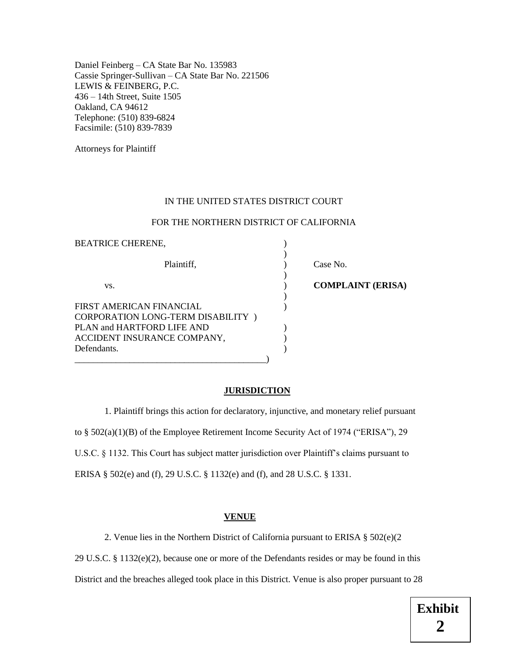Daniel Feinberg – CA State Bar No. 135983 Cassie Springer-Sullivan – CA State Bar No. 221506 LEWIS & FEINBERG, P.C. 436 – 14th Street, Suite 1505 Oakland, CA 94612 Telephone: (510) 839-6824 Facsimile: (510) 839-7839

Attorneys for Plaintiff

#### IN THE UNITED STATES DISTRICT COURT

#### FOR THE NORTHERN DISTRICT OF CALIFORNIA

| <b>BEATRICE CHERENE,</b>                                                                                                                  |                          |  |
|-------------------------------------------------------------------------------------------------------------------------------------------|--------------------------|--|
| Plaintiff,                                                                                                                                | Case No.                 |  |
| VS.                                                                                                                                       | <b>COMPLAINT (ERISA)</b> |  |
| FIRST AMERICAN FINANCIAL<br>CORPORATION LONG-TERM DISABILITY)<br>PLAN and HARTFORD LIFE AND<br>ACCIDENT INSURANCE COMPANY,<br>Defendants. |                          |  |
|                                                                                                                                           |                          |  |

#### **JURISDICTION**

1. Plaintiff brings this action for declaratory, injunctive, and monetary relief pursuant to § 502(a)(1)(B) of the Employee Retirement Income Security Act of 1974 ("ERISA"), 29 U.S.C. § 1132. This Court has subject matter jurisdiction over Plaintiff's claims pursuant to ERISA § 502(e) and (f), 29 U.S.C. § 1132(e) and (f), and 28 U.S.C. § 1331.

# **VENUE**

2. Venue lies in the Northern District of California pursuant to ERISA § 502(e)(2

29 U.S.C. § 1132 $(e)(2)$ , because one or more of the Defendants resides or may be found in this

District and the breaches alleged took place in this District. Venue is also proper pursuant to 28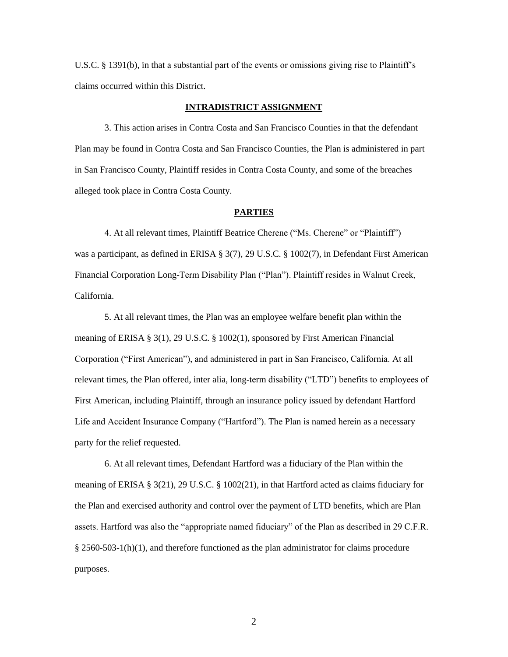U.S.C. § 1391(b), in that a substantial part of the events or omissions giving rise to Plaintiff's claims occurred within this District.

#### **INTRADISTRICT ASSIGNMENT**

3. This action arises in Contra Costa and San Francisco Counties in that the defendant Plan may be found in Contra Costa and San Francisco Counties, the Plan is administered in part in San Francisco County, Plaintiff resides in Contra Costa County, and some of the breaches alleged took place in Contra Costa County.

## **PARTIES**

4. At all relevant times, Plaintiff Beatrice Cherene ("Ms. Cherene" or "Plaintiff") was a participant, as defined in ERISA § 3(7), 29 U.S.C. § 1002(7), in Defendant First American Financial Corporation Long-Term Disability Plan ("Plan"). Plaintiff resides in Walnut Creek, California.

5. At all relevant times, the Plan was an employee welfare benefit plan within the meaning of ERISA § 3(1), 29 U.S.C. § 1002(1), sponsored by First American Financial Corporation ("First American"), and administered in part in San Francisco, California. At all relevant times, the Plan offered, inter alia, long-term disability ("LTD") benefits to employees of First American, including Plaintiff, through an insurance policy issued by defendant Hartford Life and Accident Insurance Company ("Hartford"). The Plan is named herein as a necessary party for the relief requested.

6. At all relevant times, Defendant Hartford was a fiduciary of the Plan within the meaning of ERISA § 3(21), 29 U.S.C. § 1002(21), in that Hartford acted as claims fiduciary for the Plan and exercised authority and control over the payment of LTD benefits, which are Plan assets. Hartford was also the "appropriate named fiduciary" of the Plan as described in 29 C.F.R.  $§$  2560-503-1(h)(1), and therefore functioned as the plan administrator for claims procedure purposes.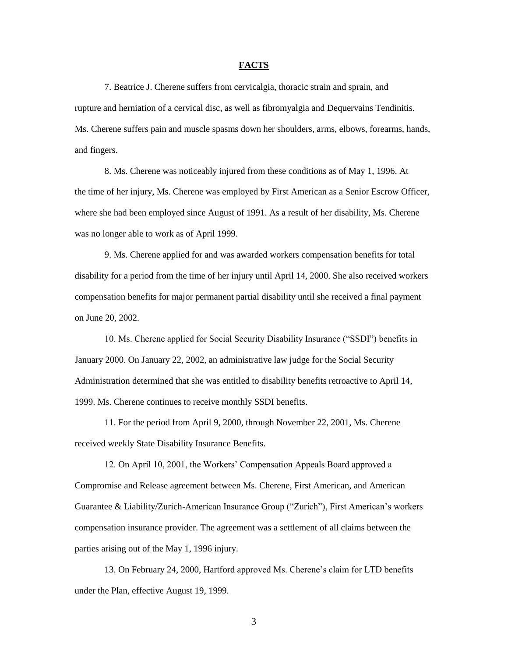#### **FACTS**

7. Beatrice J. Cherene suffers from cervicalgia, thoracic strain and sprain, and rupture and herniation of a cervical disc, as well as fibromyalgia and Dequervains Tendinitis. Ms. Cherene suffers pain and muscle spasms down her shoulders, arms, elbows, forearms, hands, and fingers.

8. Ms. Cherene was noticeably injured from these conditions as of May 1, 1996. At the time of her injury, Ms. Cherene was employed by First American as a Senior Escrow Officer, where she had been employed since August of 1991. As a result of her disability, Ms. Cherene was no longer able to work as of April 1999.

9. Ms. Cherene applied for and was awarded workers compensation benefits for total disability for a period from the time of her injury until April 14, 2000. She also received workers compensation benefits for major permanent partial disability until she received a final payment on June 20, 2002.

10. Ms. Cherene applied for Social Security Disability Insurance ("SSDI") benefits in January 2000. On January 22, 2002, an administrative law judge for the Social Security Administration determined that she was entitled to disability benefits retroactive to April 14, 1999. Ms. Cherene continues to receive monthly SSDI benefits.

11. For the period from April 9, 2000, through November 22, 2001, Ms. Cherene received weekly State Disability Insurance Benefits.

12. On April 10, 2001, the Workers' Compensation Appeals Board approved a Compromise and Release agreement between Ms. Cherene, First American, and American Guarantee & Liability/Zurich-American Insurance Group ("Zurich"), First American's workers compensation insurance provider. The agreement was a settlement of all claims between the parties arising out of the May 1, 1996 injury.

13. On February 24, 2000, Hartford approved Ms. Cherene's claim for LTD benefits under the Plan, effective August 19, 1999.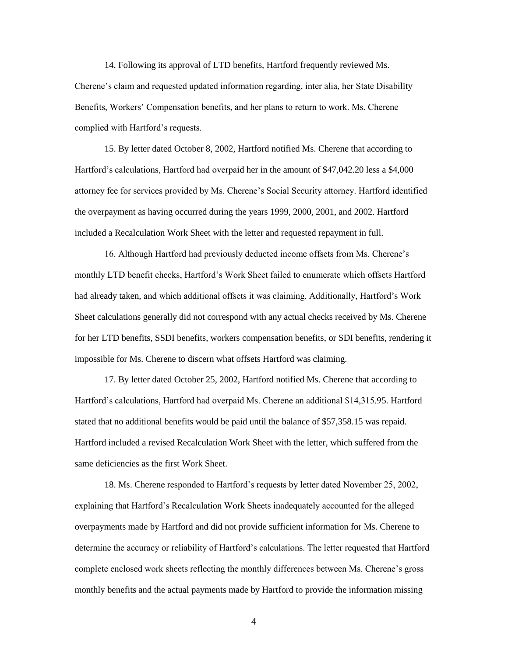14. Following its approval of LTD benefits, Hartford frequently reviewed Ms. Cherene's claim and requested updated information regarding, inter alia, her State Disability Benefits, Workers' Compensation benefits, and her plans to return to work. Ms. Cherene complied with Hartford's requests.

15. By letter dated October 8, 2002, Hartford notified Ms. Cherene that according to Hartford's calculations, Hartford had overpaid her in the amount of \$47,042.20 less a \$4,000 attorney fee for services provided by Ms. Cherene's Social Security attorney. Hartford identified the overpayment as having occurred during the years 1999, 2000, 2001, and 2002. Hartford included a Recalculation Work Sheet with the letter and requested repayment in full.

16. Although Hartford had previously deducted income offsets from Ms. Cherene's monthly LTD benefit checks, Hartford's Work Sheet failed to enumerate which offsets Hartford had already taken, and which additional offsets it was claiming. Additionally, Hartford's Work Sheet calculations generally did not correspond with any actual checks received by Ms. Cherene for her LTD benefits, SSDI benefits, workers compensation benefits, or SDI benefits, rendering it impossible for Ms. Cherene to discern what offsets Hartford was claiming.

17. By letter dated October 25, 2002, Hartford notified Ms. Cherene that according to Hartford's calculations, Hartford had overpaid Ms. Cherene an additional \$14,315.95. Hartford stated that no additional benefits would be paid until the balance of \$57,358.15 was repaid. Hartford included a revised Recalculation Work Sheet with the letter, which suffered from the same deficiencies as the first Work Sheet.

18. Ms. Cherene responded to Hartford's requests by letter dated November 25, 2002, explaining that Hartford's Recalculation Work Sheets inadequately accounted for the alleged overpayments made by Hartford and did not provide sufficient information for Ms. Cherene to determine the accuracy or reliability of Hartford's calculations. The letter requested that Hartford complete enclosed work sheets reflecting the monthly differences between Ms. Cherene's gross monthly benefits and the actual payments made by Hartford to provide the information missing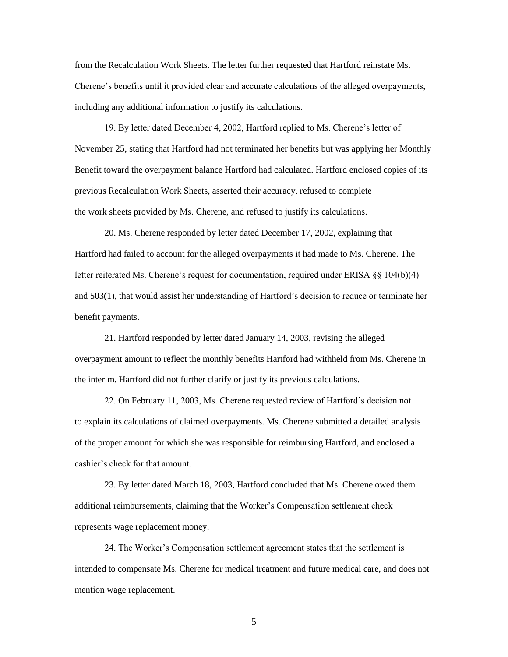from the Recalculation Work Sheets. The letter further requested that Hartford reinstate Ms. Cherene's benefits until it provided clear and accurate calculations of the alleged overpayments, including any additional information to justify its calculations.

19. By letter dated December 4, 2002, Hartford replied to Ms. Cherene's letter of November 25, stating that Hartford had not terminated her benefits but was applying her Monthly Benefit toward the overpayment balance Hartford had calculated. Hartford enclosed copies of its previous Recalculation Work Sheets, asserted their accuracy, refused to complete the work sheets provided by Ms. Cherene, and refused to justify its calculations.

20. Ms. Cherene responded by letter dated December 17, 2002, explaining that Hartford had failed to account for the alleged overpayments it had made to Ms. Cherene. The letter reiterated Ms. Cherene's request for documentation, required under ERISA §§ 104(b)(4) and 503(1), that would assist her understanding of Hartford's decision to reduce or terminate her benefit payments.

21. Hartford responded by letter dated January 14, 2003, revising the alleged overpayment amount to reflect the monthly benefits Hartford had withheld from Ms. Cherene in the interim. Hartford did not further clarify or justify its previous calculations.

22. On February 11, 2003, Ms. Cherene requested review of Hartford's decision not to explain its calculations of claimed overpayments. Ms. Cherene submitted a detailed analysis of the proper amount for which she was responsible for reimbursing Hartford, and enclosed a cashier's check for that amount.

23. By letter dated March 18, 2003, Hartford concluded that Ms. Cherene owed them additional reimbursements, claiming that the Worker's Compensation settlement check represents wage replacement money.

24. The Worker's Compensation settlement agreement states that the settlement is intended to compensate Ms. Cherene for medical treatment and future medical care, and does not mention wage replacement.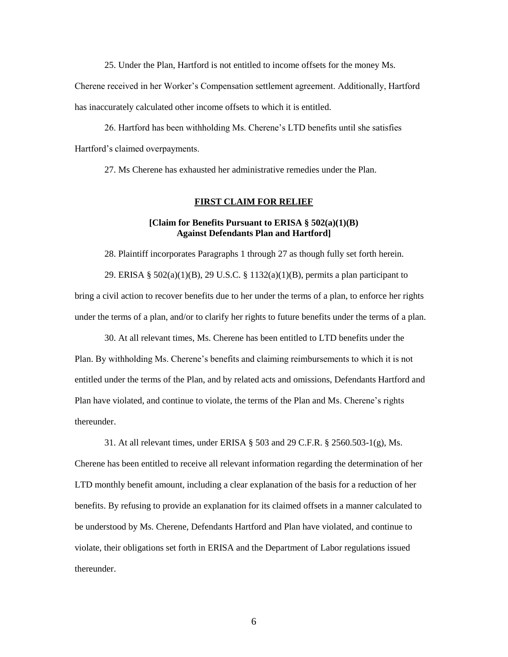25. Under the Plan, Hartford is not entitled to income offsets for the money Ms.

Cherene received in her Worker's Compensation settlement agreement. Additionally, Hartford has inaccurately calculated other income offsets to which it is entitled.

26. Hartford has been withholding Ms. Cherene's LTD benefits until she satisfies Hartford's claimed overpayments.

27. Ms Cherene has exhausted her administrative remedies under the Plan.

#### **FIRST CLAIM FOR RELIEF**

## **[Claim for Benefits Pursuant to ERISA § 502(a)(1)(B) Against Defendants Plan and Hartford]**

28. Plaintiff incorporates Paragraphs 1 through 27 as though fully set forth herein. 29. ERISA § 502(a)(1)(B), 29 U.S.C. § 1132(a)(1)(B), permits a plan participant to bring a civil action to recover benefits due to her under the terms of a plan, to enforce her rights under the terms of a plan, and/or to clarify her rights to future benefits under the terms of a plan.

30. At all relevant times, Ms. Cherene has been entitled to LTD benefits under the Plan. By withholding Ms. Cherene's benefits and claiming reimbursements to which it is not entitled under the terms of the Plan, and by related acts and omissions, Defendants Hartford and Plan have violated, and continue to violate, the terms of the Plan and Ms. Cherene's rights thereunder.

31. At all relevant times, under ERISA § 503 and 29 C.F.R. § 2560.503-1(g), Ms. Cherene has been entitled to receive all relevant information regarding the determination of her LTD monthly benefit amount, including a clear explanation of the basis for a reduction of her benefits. By refusing to provide an explanation for its claimed offsets in a manner calculated to be understood by Ms. Cherene, Defendants Hartford and Plan have violated, and continue to violate, their obligations set forth in ERISA and the Department of Labor regulations issued thereunder.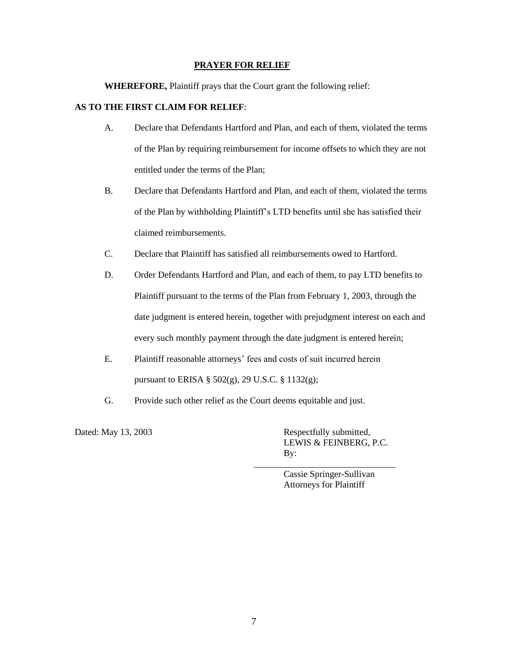#### **PRAYER FOR RELIEF**

**WHEREFORE,** Plaintiff prays that the Court grant the following relief:

## **AS TO THE FIRST CLAIM FOR RELIEF**:

- A. Declare that Defendants Hartford and Plan, and each of them, violated the terms of the Plan by requiring reimbursement for income offsets to which they are not entitled under the terms of the Plan;
- B. Declare that Defendants Hartford and Plan, and each of them, violated the terms of the Plan by withholding Plaintiff's LTD benefits until she has satisfied their claimed reimbursements.
- C. Declare that Plaintiff has satisfied all reimbursements owed to Hartford.
- D. Order Defendants Hartford and Plan, and each of them, to pay LTD benefits to Plaintiff pursuant to the terms of the Plan from February 1, 2003, through the date judgment is entered herein, together with prejudgment interest on each and every such monthly payment through the date judgment is entered herein;
- E. Plaintiff reasonable attorneys' fees and costs of suit incurred herein pursuant to ERISA § 502(g), 29 U.S.C. § 1132(g);
- G. Provide such other relief as the Court deems equitable and just.

Dated: May 13, 2003 Respectfully submitted, LEWIS & FEINBERG, P.C. By:

> Cassie Springer-Sullivan Attorneys for Plaintiff

\_\_\_\_\_\_\_\_\_\_\_\_\_\_\_\_\_\_\_\_\_\_\_\_\_\_\_\_\_\_\_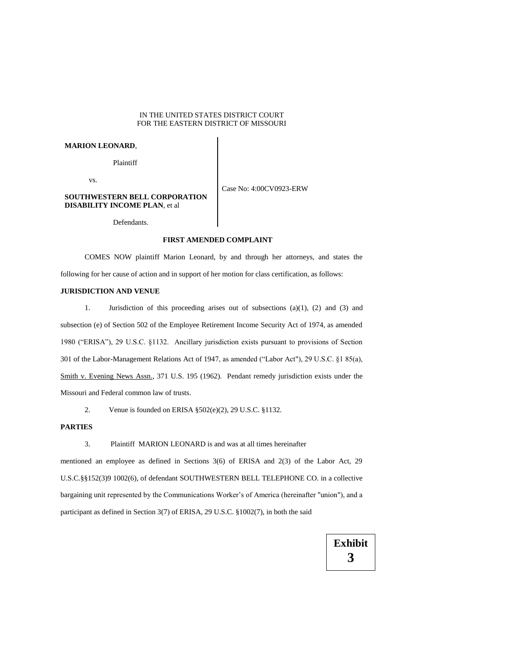#### IN THE UNITED STATES DISTRICT COURT FOR THE EASTERN DISTRICT OF MISSOURI

#### **MARION LEONARD**,

Plaintiff

vs.

Case No: 4:00CV0923-ERW

#### **SOUTHWESTERN BELL CORPORATION DISABILITY INCOME PLAN**, et al

Defendants.

#### **FIRST AMENDED COMPLAINT**

COMES NOW plaintiff Marion Leonard, by and through her attorneys, and states the following for her cause of action and in support of her motion for class certification, as follows:

#### **JURISDICTION AND VENUE**

1. Jurisdiction of this proceeding arises out of subsections (a)(1), (2) and (3) and subsection (e) of Section 502 of the Employee Retirement Income Security Act of 1974, as amended 1980 ("ERISA"), 29 U.S.C. §1132. Ancillary jurisdiction exists pursuant to provisions of Section 301 of the Labor-Management Relations Act of 1947, as amended ("Labor Act"), 29 U.S.C. §1 85(a), Smith v. Evening News Assn., 371 U.S. 195 (1962). Pendant remedy jurisdiction exists under the Missouri and Federal common law of trusts.

2. Venue is founded on ERISA §502(e)(2), 29 U.S.C. §1132.

#### **PARTIES**

3. Plaintiff MARION LEONARD is and was at all times hereinafter

mentioned an employee as defined in Sections 3(6) of ERISA and 2(3) of the Labor Act, 29 U.S.C.§§152(3)9 1002(6), of defendant SOUTHWESTERN BELL TELEPHONE CO. in a collective bargaining unit represented by the Communications Worker's of America (hereinafter "union"), and a participant as defined in Section 3(7) of ERISA, 29 U.S.C. §1002(7), in both the said

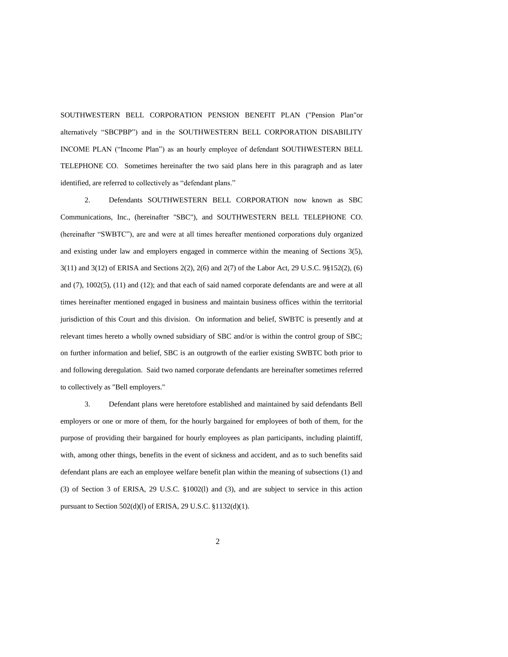SOUTHWESTERN BELL CORPORATION PENSION BENEFIT PLAN ("Pension Plan"or alternatively "SBCPBP") and in the SOUTHWESTERN BELL CORPORATION DISABILITY INCOME PLAN ("Income Plan") as an hourly employee of defendant SOUTHWESTERN BELL TELEPHONE CO. Sometimes hereinafter the two said plans here in this paragraph and as later identified, are referred to collectively as "defendant plans."

2. Defendants SOUTHWESTERN BELL CORPORATION now known as SBC Communications, Inc., (hereinafter "SBC"), and SOUTHWESTERN BELL TELEPHONE CO. (hereinafter "SWBTC"), are and were at all times hereafter mentioned corporations duly organized and existing under law and employers engaged in commerce within the meaning of Sections 3(5), 3(11) and 3(12) of ERISA and Sections 2(2), 2(6) and 2(7) of the Labor Act, 29 U.S.C. 9§152(2), (6) and (7), 1002(5), (11) and (12); and that each of said named corporate defendants are and were at all times hereinafter mentioned engaged in business and maintain business offices within the territorial jurisdiction of this Court and this division. On information and belief, SWBTC is presently and at relevant times hereto a wholly owned subsidiary of SBC and/or is within the control group of SBC; on further information and belief, SBC is an outgrowth of the earlier existing SWBTC both prior to and following deregulation. Said two named corporate defendants are hereinafter sometimes referred to collectively as "Bell employers."

3. Defendant plans were heretofore established and maintained by said defendants Bell employers or one or more of them, for the hourly bargained for employees of both of them, for the purpose of providing their bargained for hourly employees as plan participants, including plaintiff, with, among other things, benefits in the event of sickness and accident, and as to such benefits said defendant plans are each an employee welfare benefit plan within the meaning of subsections (1) and (3) of Section 3 of ERISA, 29 U.S.C. §1002(l) and (3), and are subject to service in this action pursuant to Section 502(d)(l) of ERISA, 29 U.S.C. §1132(d)(1).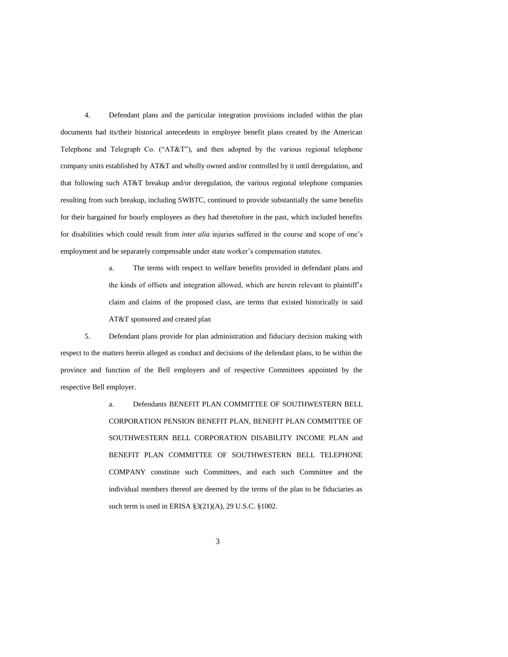4. Defendant plans and the particular integration provisions included within the plan documents had its/their historical antecedents in employee benefit plans created by the American Telephone and Telegraph Co. ("AT&T"), and then adopted by the various regional telephone company units established by AT&T and wholly owned and/or controlled by it until deregulation, and that following such AT&T breakup and/or deregulation, the various regional telephone companies resulting from such breakup, including SWBTC, continued to provide substantially the same benefits for their bargained for hourly employees as they had theretofore in the past, which included benefits for disabilities which could result from *inter alia* injuries suffered in the course and scope of one's employment and be separately compensable under state worker's compensation statutes.

> a. The terms with respect to welfare benefits provided in defendant plans and the kinds of offsets and integration allowed, which are herein relevant to plaintiff's claim and claims of the proposed class, are terms that existed historically in said AT&T sponsored and created plan

5. Defendant plans provide for plan administration and fiduciary decision making with respect to the matters herein alleged as conduct and decisions of the defendant plans, to be within the province and function of the Bell employers and of respective Committees appointed by the respective Bell employer.

> a. Defendants BENEFIT PLAN COMMITTEE OF SOUTHWESTERN BELL CORPORATION PENSION BENEFIT PLAN, BENEFIT PLAN COMMITTEE OF SOUTHWESTERN BELL CORPORATION DISABILITY INCOME PLAN and BENEFIT PLAN COMMITTEE OF SOUTHWESTERN BELL TELEPHONE COMPANY constitute such Committees, and each such Committee and the individual members thereof are deemed by the terms of the plan to be fiduciaries as such term is used in ERISA §3(21)(A), 29 U.S.C. §1002.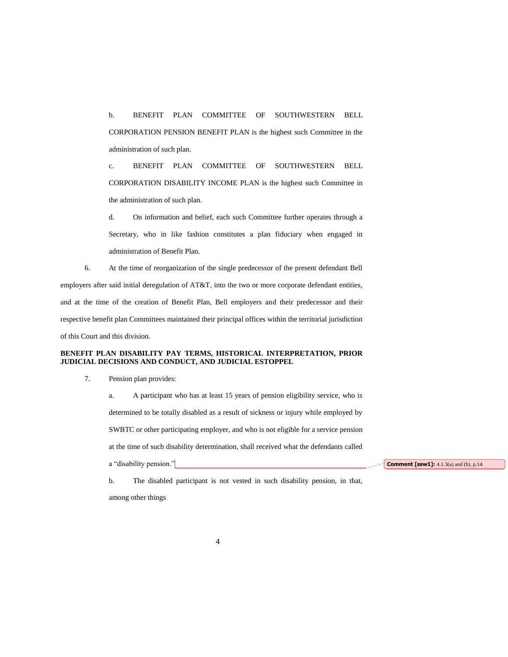b. BENEFIT PLAN COMMITTEE OF SOUTHWESTERN BELL CORPORATION PENSION BENEFIT PLAN is the highest such Committee in the administration of such plan.

c. BENEFIT PLAN COMMITTEE OF SOUTHWESTERN BELL CORPORATION DISABILITY INCOME PLAN is the highest such Committee in the administration of such plan.

d. On information and belief, each such Committee further operates through a Secretary, who in like fashion constitutes a plan fiduciary when engaged in administration of Benefit Plan.

6. At the time of reorganization of the single predecessor of the present defendant Bell employers after said initial deregulation of AT&T, into the two or more corporate defendant entities, and at the time of the creation of Benefit Plan, Bell employers and their predecessor and their respective benefit plan Committees maintained their principal offices within the territorial jurisdiction of this Court and this division.

#### **BENEFIT PLAN DISABILITY PAY TERMS, HISTORICAL INTERPRETATION, PRIOR JUDICIAL DECISIONS AND CONDUCT, AND JUDICIAL ESTOPPEL**

#### 7. Pension plan provides:

a. A participant who has at least 15 years of pension eligibility service, who is determined to be totally disabled as a result of sickness or injury while employed by SWBTC or other participating employer, and who is not eligible for a service pension at the time of such disability determination, shall received what the defendants called a "disability pension."

**Comment [ssw1]:** 4.1.3(a) and (b), p.14.

b. The disabled participant is not vested in such disability pension, in that, among other things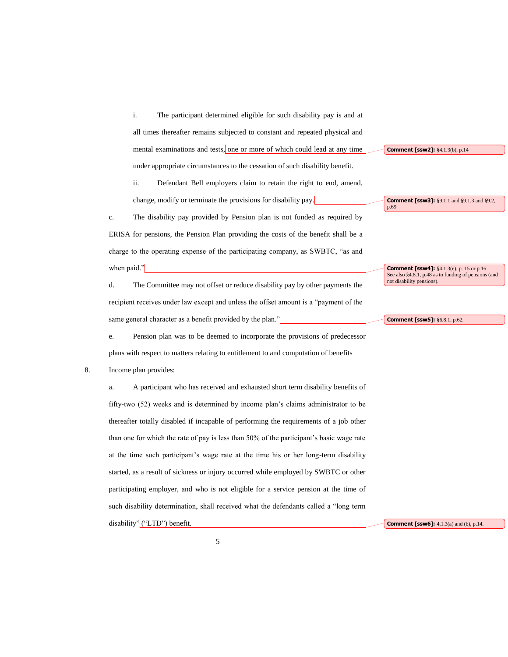i. The participant determined eligible for such disability pay is and at all times thereafter remains subjected to constant and repeated physical and mental examinations and tests, one or more of which could lead at any time under appropriate circumstances to the cessation of such disability benefit.

ii. Defendant Bell employers claim to retain the right to end, amend, change, modify or terminate the provisions for disability pay.

c. The disability pay provided by Pension plan is not funded as required by ERISA for pensions, the Pension Plan providing the costs of the benefit shall be a charge to the operating expense of the participating company, as SWBTC, "as and when paid."

d. The Committee may not offset or reduce disability pay by other payments the recipient receives under law except and unless the offset amount is a "payment of the same general character as a benefit provided by the plan."

e. Pension plan was to be deemed to incorporate the provisions of predecessor plans with respect to matters relating to entitlement to and computation of benefits

#### 8. Income plan provides:

a. A participant who has received and exhausted short term disability benefits of fifty-two (52) weeks and is determined by income plan's claims administrator to be thereafter totally disabled if incapable of performing the requirements of a job other than one for which the rate of pay is less than 50% of the participant's basic wage rate at the time such participant's wage rate at the time his or her long-term disability started, as a result of sickness or injury occurred while employed by SWBTC or other participating employer, and who is not eligible for a service pension at the time of such disability determination, shall received what the defendants called a "long term disability" ("LTD") benefit.

**Comment [ssw2]:** §4.1.3(b), p.14

**Comment [ssw3]:** §9.1.1 and §9.1.3 and §9.2, p.69

**Comment [ssw4]:** §4.1.3(e), p. 15 or p.16. See also §4.8.1, p.48 as to funding of pensions (and not disability pensions).

**Comment [ssw5]:** §6.8.1, p.62.

**Comment [ssw6]:** 4.1.3(a) and (b), p.14.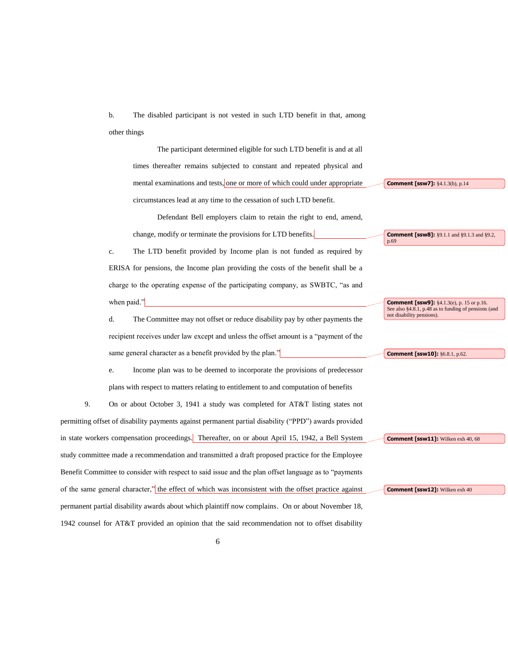b. The disabled participant is not vested in such LTD benefit in that, among other things

The participant determined eligible for such LTD benefit is and at all times thereafter remains subjected to constant and repeated physical and mental examinations and tests, one or more of which could under appropriate circumstances lead at any time to the cessation of such LTD benefit.

Defendant Bell employers claim to retain the right to end, amend, change, modify or terminate the provisions for LTD benefits.

c. The LTD benefit provided by Income plan is not funded as required by ERISA for pensions, the Income plan providing the costs of the benefit shall be a charge to the operating expense of the participating company, as SWBTC, "as and when paid."

d. The Committee may not offset or reduce disability pay by other payments the recipient receives under law except and unless the offset amount is a "payment of the same general character as a benefit provided by the plan."

e. Income plan was to be deemed to incorporate the provisions of predecessor plans with respect to matters relating to entitlement to and computation of benefits

9. On or about October 3, 1941 a study was completed for AT&T listing states not permitting offset of disability payments against permanent partial disability ("PPD") awards provided in state workers compensation proceedings. Thereafter, on or about April 15, 1942, a Bell System study committee made a recommendation and transmitted a draft proposed practice for the Employee Benefit Committee to consider with respect to said issue and the plan offset language as to "payments of the same general character," the effect of which was inconsistent with the offset practice against permanent partial disability awards about which plaintiff now complains. On or about November 18, 1942 counsel for AT&T provided an opinion that the said recommendation not to offset disability **Comment [ssw9]:** §4.1.3(e), p. 15 or p.16.<br>See also §4.8.1, p.48 as to funding of pensions (and not disability pensions).

**Comment [ssw8]:** §9.1.1 and §9.1.3 and §9.2,

**Comment [ssw10]:** §6.8.1, p.62.

**Comment [ssw7]:** §4.1.3(b), p.14

p.69

**Comment [ssw11]:** Wilken exh 40, 68

**Comment [ssw12]:** Wilken exh 40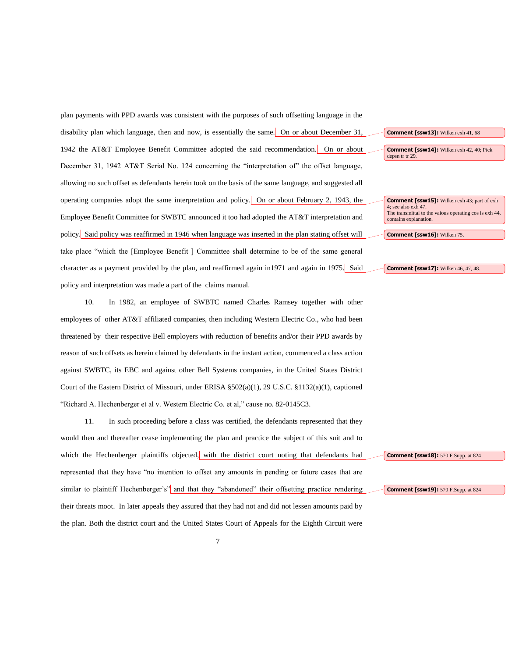plan payments with PPD awards was consistent with the purposes of such offsetting language in the disability plan which language, then and now, is essentially the same. On or about December 31, 1942 the AT&T Employee Benefit Committee adopted the said recommendation. On or about December 31, 1942 AT&T Serial No. 124 concerning the "interpretation of" the offset language, allowing no such offset as defendants herein took on the basis of the same language, and suggested all operating companies adopt the same interpretation and policy. On or about February 2, 1943, the Employee Benefit Committee for SWBTC announced it too had adopted the AT&T interpretation and policy. Said policy was reaffirmed in 1946 when language was inserted in the plan stating offset will take place "which the [Employee Benefit ] Committee shall determine to be of the same general character as a payment provided by the plan, and reaffirmed again in1971 and again in 1975. Said policy and interpretation was made a part of the claims manual.

10. In 1982, an employee of SWBTC named Charles Ramsey together with other employees of other AT&T affiliated companies, then including Western Electric Co., who had been threatened by their respective Bell employers with reduction of benefits and/or their PPD awards by reason of such offsets as herein claimed by defendants in the instant action, commenced a class action against SWBTC, its EBC and against other Bell Systems companies, in the United States District Court of the Eastern District of Missouri, under ERISA §502(a)(1), 29 U.S.C. §1132(a)(1), captioned "Richard A. Hechenberger et al v. Western Electric Co. et al," cause no. 82-0145C3.

11. In such proceeding before a class was certified, the defendants represented that they would then and thereafter cease implementing the plan and practice the subject of this suit and to which the Hechenberger plaintiffs objected, with the district court noting that defendants had represented that they have "no intention to offset any amounts in pending or future cases that are similar to plaintiff Hechenberger's" and that they "abandoned" their offsetting practice rendering their threats moot. In later appeals they assured that they had not and did not lessen amounts paid by the plan. Both the district court and the United States Court of Appeals for the Eighth Circuit were



**Comment [ssw14]:** Wilken exh 42, 40; Pick depsn tr tr 29.

**Comment [ssw15]:** Wilken exh 43; part of exh 4; see also exh 47. The transmittal to the vaious operating cos is exh 44, contains explanation.

**Comment [ssw16]:** Wilken 75.

#### **Comment [ssw17]:** Wilken 46, 47, 48.

**Comment [ssw18]:** 570 F.Supp. at 824

**Comment [ssw19]:** 570 F.Supp. at 824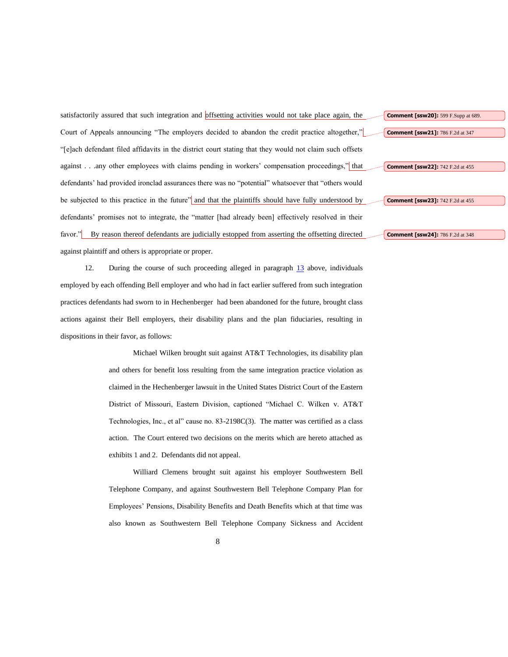satisfactorily assured that such integration and offsetting activities would not take place again, the Court of Appeals announcing "The employers decided to abandon the credit practice altogether," "[e]ach defendant filed affidavits in the district court stating that they would not claim such offsets against . . .any other employees with claims pending in workers' compensation proceedings," that defendants' had provided ironclad assurances there was no "potential" whatsoever that "others would be subjected to this practice in the future" and that the plaintiffs should have fully understood by defendants' promises not to integrate, the "matter [had already been] effectively resolved in their favor." By reason thereof defendants are judicially estopped from asserting the offsetting directed against plaintiff and others is appropriate or proper.

12. During the course of such proceeding alleged in paragraph 13 above, individuals employed by each offending Bell employer and who had in fact earlier suffered from such integration practices defendants had sworn to in Hechenberger had been abandoned for the future, brought class actions against their Bell employers, their disability plans and the plan fiduciaries, resulting in dispositions in their favor, as follows:

> Michael Wilken brought suit against AT&T Technologies, its disability plan and others for benefit loss resulting from the same integration practice violation as claimed in the Hechenberger lawsuit in the United States District Court of the Eastern District of Missouri, Eastern Division, captioned "Michael C. Wilken v. AT&T Technologies, Inc., et al" cause no. 83-2198C(3). The matter was certified as a class action. The Court entered two decisions on the merits which are hereto attached as exhibits 1 and 2. Defendants did not appeal.

> Williard Clemens brought suit against his employer Southwestern Bell Telephone Company, and against Southwestern Bell Telephone Company Plan for Employees' Pensions, Disability Benefits and Death Benefits which at that time was also known as Southwestern Bell Telephone Company Sickness and Accident

**Comment [ssw22]:** 742 F.2d at 455

**Comment [ssw20]:** 599 F.Supp at 689.

**Comment [ssw21]:** 786 F.2d at 347

**Comment [ssw23]:** 742 F.2d at 455

**Comment [ssw24]:** 786 F.2d at 348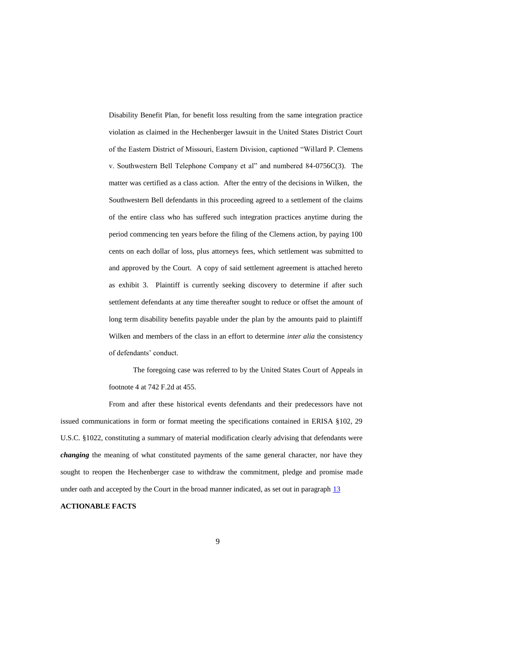Disability Benefit Plan, for benefit loss resulting from the same integration practice violation as claimed in the Hechenberger lawsuit in the United States District Court of the Eastern District of Missouri, Eastern Division, captioned "Willard P. Clemens v. Southwestern Bell Telephone Company et al" and numbered 84-0756C(3). The matter was certified as a class action. After the entry of the decisions in Wilken, the Southwestern Bell defendants in this proceeding agreed to a settlement of the claims of the entire class who has suffered such integration practices anytime during the period commencing ten years before the filing of the Clemens action, by paying 100 cents on each dollar of loss, plus attorneys fees, which settlement was submitted to and approved by the Court. A copy of said settlement agreement is attached hereto as exhibit 3. Plaintiff is currently seeking discovery to determine if after such settlement defendants at any time thereafter sought to reduce or offset the amount of long term disability benefits payable under the plan by the amounts paid to plaintiff Wilken and members of the class in an effort to determine *inter alia* the consistency of defendants' conduct.

The foregoing case was referred to by the United States Court of Appeals in footnote 4 at 742 F.2d at 455.

From and after these historical events defendants and their predecessors have not issued communications in form or format meeting the specifications contained in ERISA §102, 29 U.S.C. §1022, constituting a summary of material modification clearly advising that defendants were *changing* the meaning of what constituted payments of the same general character, nor have they sought to reopen the Hechenberger case to withdraw the commitment, pledge and promise made under oath and accepted by the Court in the broad manner indicated, as set out in paragraph  $13$ 

## **ACTIONABLE FACTS**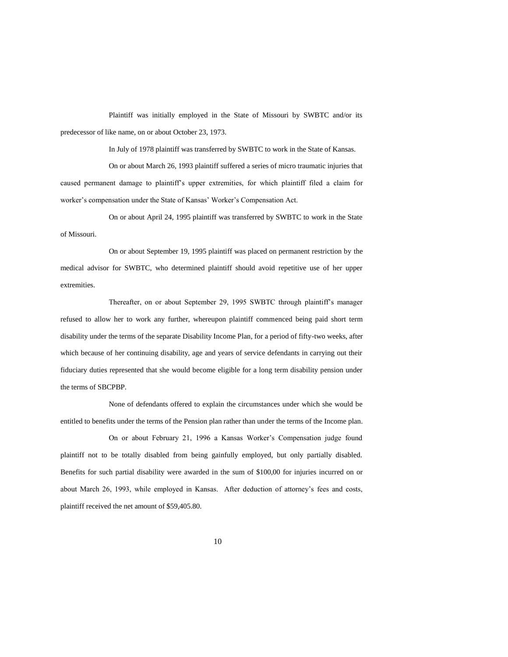Plaintiff was initially employed in the State of Missouri by SWBTC and/or its predecessor of like name, on or about October 23, 1973.

In July of 1978 plaintiff was transferred by SWBTC to work in the State of Kansas.

On or about March 26, 1993 plaintiff suffered a series of micro traumatic injuries that caused permanent damage to plaintiff's upper extremities, for which plaintiff filed a claim for worker's compensation under the State of Kansas' Worker's Compensation Act.

On or about April 24, 1995 plaintiff was transferred by SWBTC to work in the State of Missouri.

On or about September 19, 1995 plaintiff was placed on permanent restriction by the medical advisor for SWBTC, who determined plaintiff should avoid repetitive use of her upper extremities.

Thereafter, on or about September 29, 1995 SWBTC through plaintiff's manager refused to allow her to work any further, whereupon plaintiff commenced being paid short term disability under the terms of the separate Disability Income Plan, for a period of fifty-two weeks, after which because of her continuing disability, age and years of service defendants in carrying out their fiduciary duties represented that she would become eligible for a long term disability pension under the terms of SBCPBP.

None of defendants offered to explain the circumstances under which she would be entitled to benefits under the terms of the Pension plan rather than under the terms of the Income plan.

On or about February 21, 1996 a Kansas Worker's Compensation judge found plaintiff not to be totally disabled from being gainfully employed, but only partially disabled. Benefits for such partial disability were awarded in the sum of \$100,00 for injuries incurred on or about March 26, 1993, while employed in Kansas. After deduction of attorney's fees and costs, plaintiff received the net amount of \$59,405.80.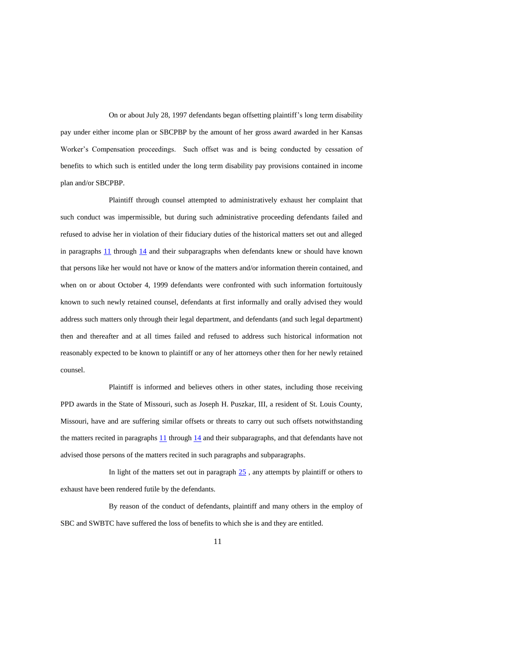On or about July 28, 1997 defendants began offsetting plaintiff's long term disability pay under either income plan or SBCPBP by the amount of her gross award awarded in her Kansas Worker's Compensation proceedings. Such offset was and is being conducted by cessation of benefits to which such is entitled under the long term disability pay provisions contained in income plan and/or SBCPBP.

Plaintiff through counsel attempted to administratively exhaust her complaint that such conduct was impermissible, but during such administrative proceeding defendants failed and refused to advise her in violation of their fiduciary duties of the historical matters set out and alleged in paragraphs  $11$  through  $14$  and their subparagraphs when defendants knew or should have known that persons like her would not have or know of the matters and/or information therein contained, and when on or about October 4, 1999 defendants were confronted with such information fortuitously known to such newly retained counsel, defendants at first informally and orally advised they would address such matters only through their legal department, and defendants (and such legal department) then and thereafter and at all times failed and refused to address such historical information not reasonably expected to be known to plaintiff or any of her attorneys other then for her newly retained counsel.

Plaintiff is informed and believes others in other states, including those receiving PPD awards in the State of Missouri, such as Joseph H. Puszkar, III, a resident of St. Louis County, Missouri, have and are suffering similar offsets or threats to carry out such offsets notwithstanding the matters recited in paragraphs 11 through 14 and their subparagraphs, and that defendants have not advised those persons of the matters recited in such paragraphs and subparagraphs.

In light of the matters set out in paragraph  $25$ , any attempts by plaintiff or others to exhaust have been rendered futile by the defendants.

By reason of the conduct of defendants, plaintiff and many others in the employ of SBC and SWBTC have suffered the loss of benefits to which she is and they are entitled.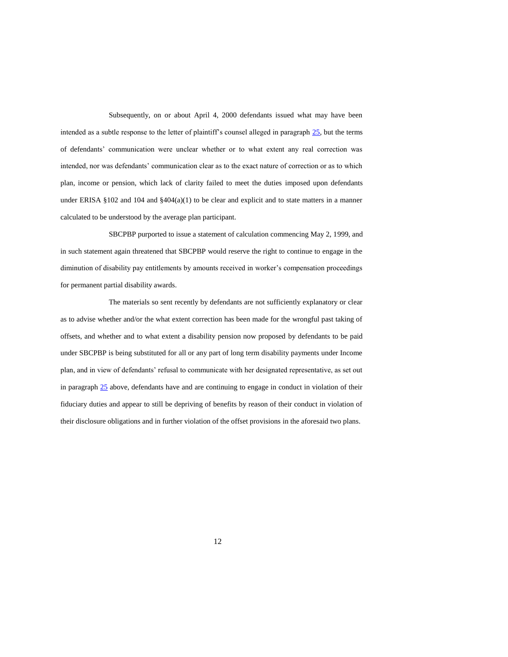Subsequently, on or about April 4, 2000 defendants issued what may have been intended as a subtle response to the letter of plaintiff's counsel alleged in paragraph 25, but the terms of defendants' communication were unclear whether or to what extent any real correction was intended, nor was defendants' communication clear as to the exact nature of correction or as to which plan, income or pension, which lack of clarity failed to meet the duties imposed upon defendants under ERISA §102 and 104 and §404(a)(1) to be clear and explicit and to state matters in a manner calculated to be understood by the average plan participant.

SBCPBP purported to issue a statement of calculation commencing May 2, 1999, and in such statement again threatened that SBCPBP would reserve the right to continue to engage in the diminution of disability pay entitlements by amounts received in worker's compensation proceedings for permanent partial disability awards.

The materials so sent recently by defendants are not sufficiently explanatory or clear as to advise whether and/or the what extent correction has been made for the wrongful past taking of offsets, and whether and to what extent a disability pension now proposed by defendants to be paid under SBCPBP is being substituted for all or any part of long term disability payments under Income plan, and in view of defendants' refusal to communicate with her designated representative, as set out in paragraph 25 above, defendants have and are continuing to engage in conduct in violation of their fiduciary duties and appear to still be depriving of benefits by reason of their conduct in violation of their disclosure obligations and in further violation of the offset provisions in the aforesaid two plans.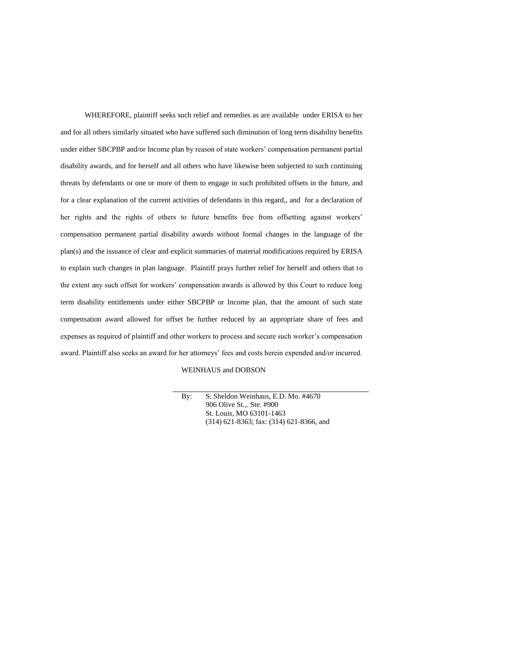WHEREFORE, plaintiff seeks such relief and remedies as are available under ERISA to her and for all others similarly situated who have suffered such diminution of long term disability benefits under either SBCPBP and/or Income plan by reason of state workers' compensation permanent partial disability awards, and for herself and all others who have likewise been subjected to such continuing threats by defendants or one or more of them to engage in such prohibited offsets in the future, and for a clear explanation of the current activities of defendants in this regard,, and for a declaration of her rights and the rights of others to future benefits free from offsetting against workers' compensation permanent partial disability awards without formal changes in the language of the plan(s) and the issuance of clear and explicit summaries of material modifications required by ERISA to explain such changes in plan language. Plaintiff prays further relief for herself and others that to the extent any such offset for workers' compensation awards is allowed by this Court to reduce long term disability entitlements under either SBCPBP or Income plan, that the amount of such state compensation award allowed for offset be further reduced by an appropriate share of fees and expenses as required of plaintiff and other workers to process and secure such worker's compensation award. Plaintiff also seeks an award for her attorneys' fees and costs herein expended and/or incurred.

#### WEINHAUS and DOBSON

By: S. Sheldon Weinhaus, E.D. Mo. #4670 906 Olive St.,. Ste. #900 St. Louis, MO 63101-1463 (314) 621-8363; fax: (314) 621-8366, and